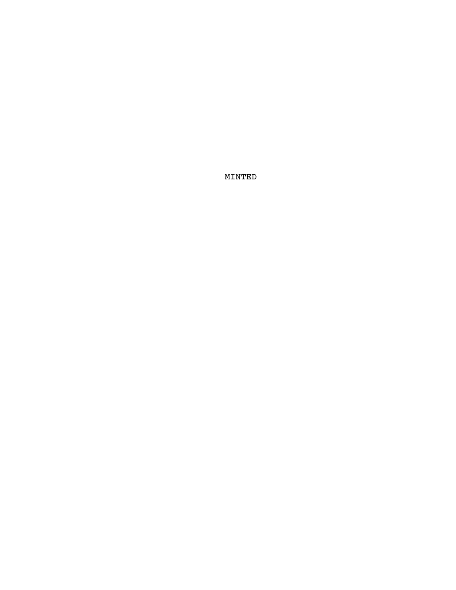MINTED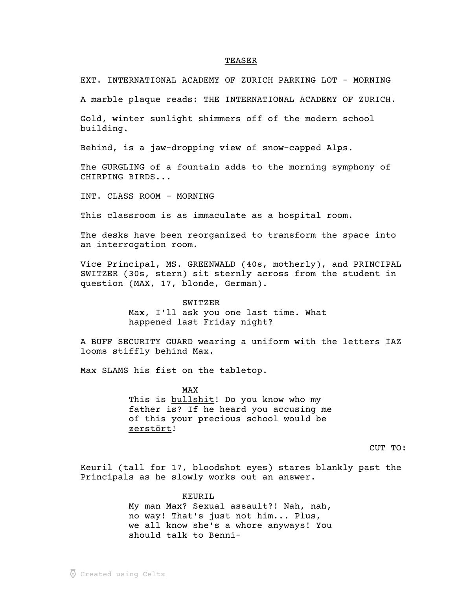#### TEASER \_\_\_\_\_\_

EXT. INTERNATIONAL ACADEMY OF ZURICH PARKING LOT - MORNING

A marble plaque reads: THE INTERNATIONAL ACADEMY OF ZURICH.

Gold, winter sunlight shimmers off of the modern school building.

Behind, is a jaw-dropping view of snow-capped Alps.

The GURGLING of a fountain adds to the morning symphony of CHIRPING BIRDS...

INT. CLASS ROOM - MORNING

This classroom is as immaculate as a hospital room.

The desks have been reorganized to transform the space into an interrogation room.

Vice Principal, MS. GREENWALD (40s, motherly), and PRINCIPAL SWITZER (30s, stern) sit sternly across from the student in question (MAX, 17, blonde, German).

SWITZER

Max, I'll ask you one last time. What happened last Friday night?

A BUFF SECURITY GUARD wearing a uniform with the letters IAZ looms stiffly behind Max.

Max SLAMS his fist on the tabletop.

MAX This is bullshit! Do you know who my father is? If he heard you accusing me of this your precious school would be zerstört! \_\_\_\_\_\_\_\_

CUT TO:

Keuril (tall for 17, bloodshot eyes) stares blankly past the Principals as he slowly works out an answer.

> KEURIL My man Max? Sexual assault?! Nah, nah, no way! That's just not him... Plus, we all know she's a whore anyways! You should talk to Benni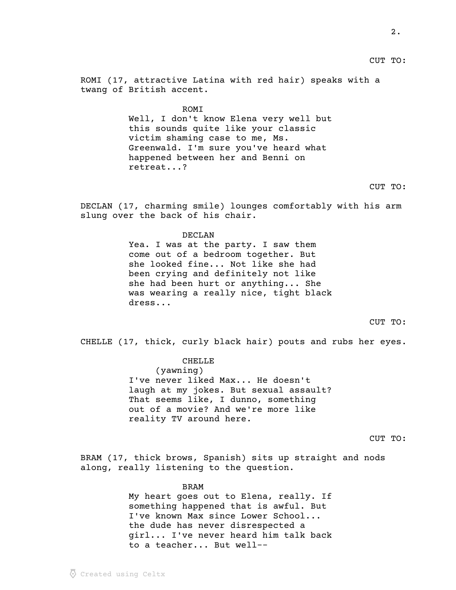CUT TO:

ROMI (17, attractive Latina with red hair) speaks with a twang of British accent.

> **ROMT** Well, I don't know Elena very well but this sounds quite like your classic victim shaming case to me, Ms. Greenwald. I'm sure you've heard what happened between her and Benni on retreat...?

# CUT TO:

DECLAN (17, charming smile) lounges comfortably with his arm slung over the back of his chair.

### DECLAN

Yea. I was at the party. I saw them come out of a bedroom together. But she looked fine... Not like she had been crying and definitely not like she had been hurt or anything... She was wearing a really nice, tight black dress...

# CUT TO:

CHELLE (17, thick, curly black hair) pouts and rubs her eyes.

CHELLE (yawning) I've never liked Max... He doesn't laugh at my jokes. But sexual assault? That seems like, I dunno, something out of a movie? And we're more like reality TV around here.

# CUT TO:

BRAM (17, thick brows, Spanish) sits up straight and nods along, really listening to the question.

BRAM

My heart goes out to Elena, really. If something happened that is awful. But I've known Max since Lower School... the dude has never disrespected a girl... I've never heard him talk back to a teacher... But well--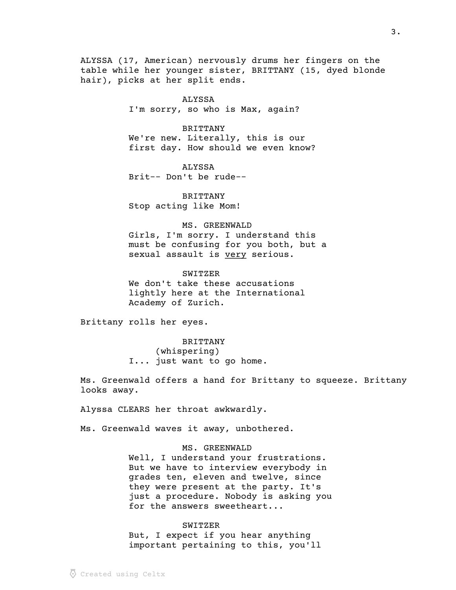ALYSSA (17, American) nervously drums her fingers on the table while her younger sister, BRITTANY (15, dyed blonde hair), picks at her split ends.

> ALYSSA I'm sorry, so who is Max, again?

> > BRITTANY

We're new. Literally, this is our first day. How should we even know?

ALYSSA Brit-- Don't be rude--

BRITTANY Stop acting like Mom!

MS. GREENWALD Girls, I'm sorry. I understand this must be confusing for you both, but a sexual assault is very serious.

SWITZER We don't take these accusations lightly here at the International Academy of Zurich.

Brittany rolls her eyes.

BRITTANY (whispering) I... just want to go home.

Ms. Greenwald offers a hand for Brittany to squeeze. Brittany looks away.

Alyssa CLEARS her throat awkwardly.

Ms. Greenwald waves it away, unbothered.

MS. GREENWALD Well, I understand your frustrations. But we have to interview everybody in grades ten, eleven and twelve, since they were present at the party. It's just a procedure. Nobody is asking you for the answers sweetheart...

SWITZER But, I expect if you hear anything important pertaining to this, you'll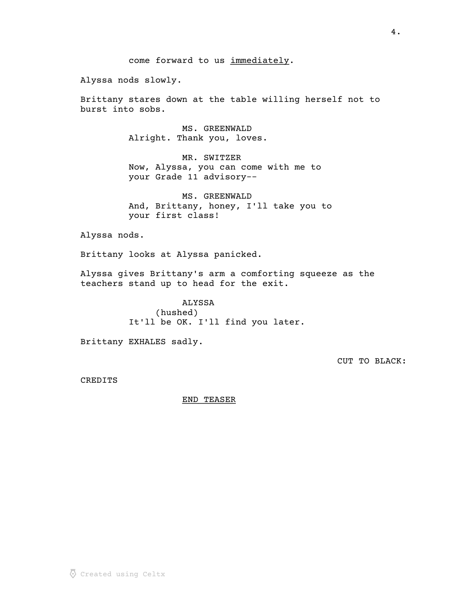come forward to us immediately.

Alyssa nods slowly.

Brittany stares down at the table willing herself not to burst into sobs.

> MS. GREENWALD Alright. Thank you, loves.

MR. SWITZER Now, Alyssa, you can come with me to your Grade 11 advisory--

MS. GREENWALD And, Brittany, honey, I'll take you to your first class!

Alyssa nods.

Brittany looks at Alyssa panicked.

Alyssa gives Brittany's arm a comforting squeeze as the teachers stand up to head for the exit.

> ALYSSA (hushed) It'll be OK. I'll find you later.

Brittany EXHALES sadly.

CUT TO BLACK:

CREDITS

END TEASER \_\_\_\_\_\_\_\_\_\_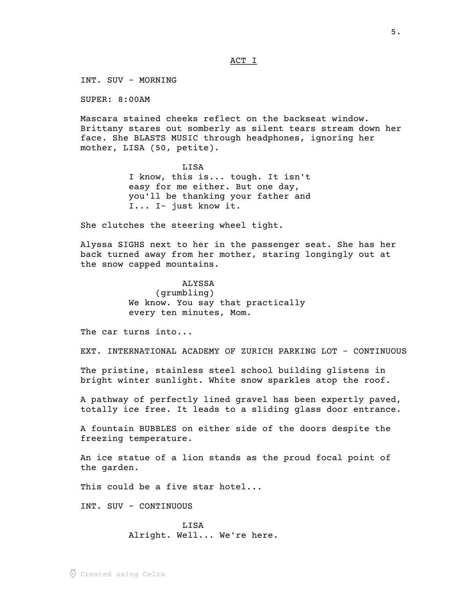### ACT I

INT. SUV - MORNING

SUPER: 8:00AM

Mascara stained cheeks reflect on the backseat window. Brittany stares out somberly as silent tears stream down her face. She BLASTS MUSIC through headphones, ignoring her mother, LISA (50, petite).

> LISA I know, this is... tough. It isn't easy for me either. But one day, you'll be thanking your father and I... I- just know it.

She clutches the steering wheel tight.

Alyssa SIGHS next to her in the passenger seat. She has her back turned away from her mother, staring longingly out at the snow capped mountains.

# ALYSSA (grumbling) We know. You say that practically every ten minutes, Mom.

The car turns into...

EXT. INTERNATIONAL ACADEMY OF ZURICH PARKING LOT - CONTINUOUS

The pristine, stainless steel school building glistens in bright winter sunlight. White snow sparkles atop the roof.

A pathway of perfectly lined gravel has been expertly paved, totally ice free. It leads to a sliding glass door entrance.

A fountain BUBBLES on either side of the doors despite the freezing temperature.

An ice statue of a lion stands as the proud focal point of the garden.

This could be a five star hotel...

INT. SUV - CONTINUOUS

LISA Alright. Well... We're here.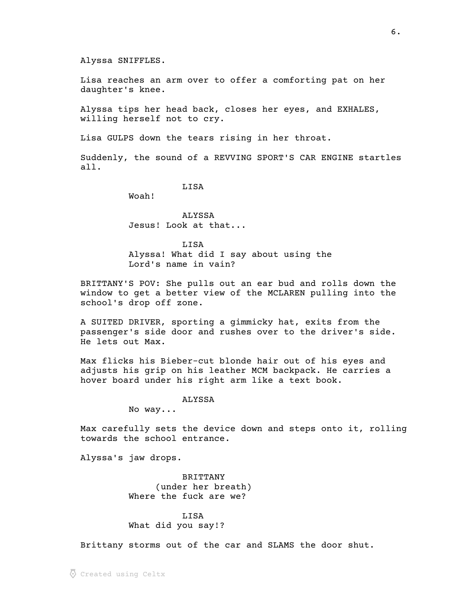Alyssa SNIFFLES.

Lisa reaches an arm over to offer a comforting pat on her daughter's knee.

Alyssa tips her head back, closes her eyes, and EXHALES, willing herself not to cry.

Lisa GULPS down the tears rising in her throat.

Suddenly, the sound of a REVVING SPORT'S CAR ENGINE startles all.

LISA

Woah!

ALYSSA Jesus! Look at that...

LISA Alyssa! What did I say about using the Lord's name in vain?

BRITTANY'S POV: She pulls out an ear bud and rolls down the window to get a better view of the MCLAREN pulling into the school's drop off zone.

A SUITED DRIVER, sporting a gimmicky hat, exits from the passenger's side door and rushes over to the driver's side. He lets out Max.

Max flicks his Bieber-cut blonde hair out of his eyes and adjusts his grip on his leather MCM backpack. He carries a hover board under his right arm like a text book.

## ALYSSA

No way...

Max carefully sets the device down and steps onto it, rolling towards the school entrance.

Alyssa's jaw drops.

BRITTANY (under her breath) Where the fuck are we?

LISA What did you say!?

Brittany storms out of the car and SLAMS the door shut.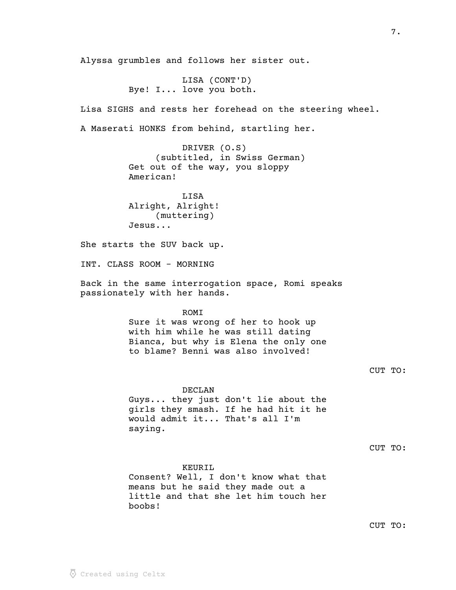boobs!

Bye! I... love you both. Lisa SIGHS and rests her forehead on the steering wheel. A Maserati HONKS from behind, startling her. DRIVER (O.S) (subtitled, in Swiss German) Get out of the way, you sloppy American! LISA Alright, Alright! (muttering) Jesus... She starts the SUV back up. INT. CLASS ROOM - MORNING Back in the same interrogation space, Romi speaks passionately with her hands. ROMI Sure it was wrong of her to hook up with him while he was still dating Bianca, but why is Elena the only one to blame? Benni was also involved! CUT TO: DECLAN Guys... they just don't lie about the girls they smash. If he had hit it he would admit it... That's all I'm saying. CUT TO: KEURIL Consent? Well, I don't know what that means but he said they made out a little and that she let him touch her

Alyssa grumbles and follows her sister out.

LISA (CONT'D)

CUT TO: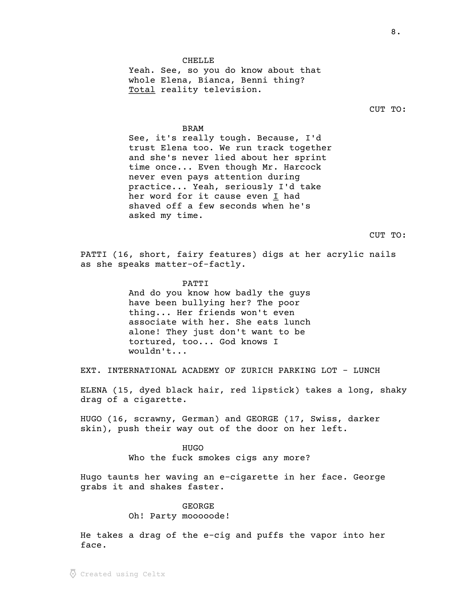### CHELLE

Yeah. See, so you do know about that whole Elena, Bianca, Benni thing? Total reality television.

#### BRAM

See, it's really tough. Because, I'd trust Elena too. We run track together and she's never lied about her sprint time once... Even though Mr. Harcock never even pays attention during practice... Yeah, seriously I'd take her word for it cause even I had shaved off a few seconds when he's asked my time.

CUT TO:

PATTI (16, short, fairy features) digs at her acrylic nails as she speaks matter-of-factly.

#### PATTI

And do you know how badly the guys have been bullying her? The poor thing... Her friends won't even associate with her. She eats lunch alone! They just don't want to be tortured, too... God knows I wouldn't...

EXT. INTERNATIONAL ACADEMY OF ZURICH PARKING LOT - LUNCH

ELENA (15, dyed black hair, red lipstick) takes a long, shaky drag of a cigarette.

HUGO (16, scrawny, German) and GEORGE (17, Swiss, darker skin), push their way out of the door on her left.

> HUGO Who the fuck smokes cigs any more?

Hugo taunts her waving an e-cigarette in her face. George grabs it and shakes faster.

### GEORGE

Oh! Party mooooode!

He takes a drag of the e-cig and puffs the vapor into her face.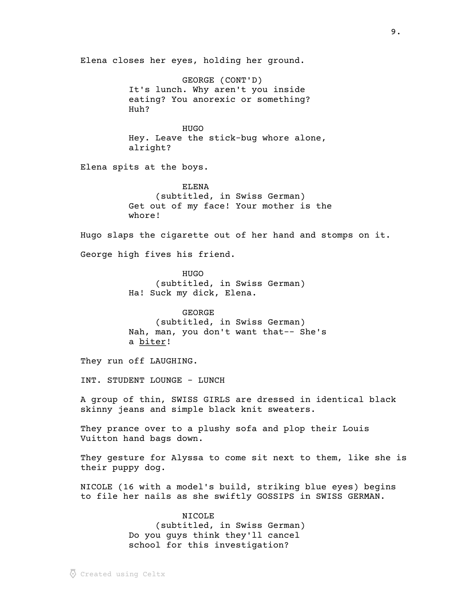Elena closes her eyes, holding her ground.

GEORGE (CONT'D) It's lunch. Why aren't you inside eating? You anorexic or something? Huh?

HUGO Hey. Leave the stick-bug whore alone, alright?

Elena spits at the boys.

ELENA (subtitled, in Swiss German) Get out of my face! Your mother is the whore!

Hugo slaps the cigarette out of her hand and stomps on it.

George high fives his friend.

HUGO (subtitled, in Swiss German) Ha! Suck my dick, Elena.

GEORGE (subtitled, in Swiss German) Nah, man, you don't want that-- She's a biter!

They run off LAUGHING.

INT. STUDENT LOUNGE - LUNCH

A group of thin, SWISS GIRLS are dressed in identical black skinny jeans and simple black knit sweaters.

They prance over to a plushy sofa and plop their Louis Vuitton hand bags down.

They gesture for Alyssa to come sit next to them, like she is their puppy dog.

NICOLE (16 with a model's build, striking blue eyes) begins to file her nails as she swiftly GOSSIPS in SWISS GERMAN.

### NICOLE

(subtitled, in Swiss German) Do you guys think they'll cancel school for this investigation?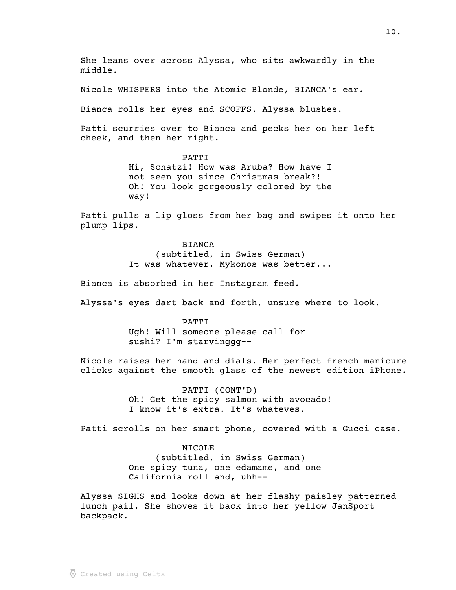She leans over across Alyssa, who sits awkwardly in the middle. Nicole WHISPERS into the Atomic Blonde, BIANCA's ear. Bianca rolls her eyes and SCOFFS. Alyssa blushes. Patti scurries over to Bianca and pecks her on her left cheek, and then her right. PATTI Hi, Schatzi! How was Aruba? How have I not seen you since Christmas break?! Oh! You look gorgeously colored by the way! Patti pulls a lip gloss from her bag and swipes it onto her plump lips. BIANCA (subtitled, in Swiss German) It was whatever. Mykonos was better... Bianca is absorbed in her Instagram feed. Alyssa's eyes dart back and forth, unsure where to look. PATTI Ugh! Will someone please call for sushi? I'm starvinggg-- Nicole raises her hand and dials. Her perfect french manicure clicks against the smooth glass of the newest edition iPhone. PATTI (CONT'D) Oh! Get the spicy salmon with avocado! I know it's extra. It's whateves. Patti scrolls on her smart phone, covered with a Gucci case. NICOLE (subtitled, in Swiss German) One spicy tuna, one edamame, and one California roll and, uhh-- Alyssa SIGHS and looks down at her flashy paisley patterned lunch pail. She shoves it back into her yellow JanSport

backpack.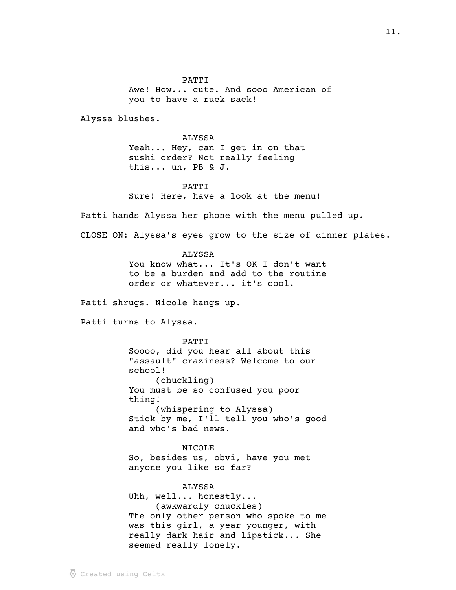PATTI Awe! How... cute. And sooo American of you to have a ruck sack!

Alyssa blushes.

ALYSSA Yeah... Hey, can I get in on that sushi order? Not really feeling this... uh, PB & J.

PATTI Sure! Here, have a look at the menu!

Patti hands Alyssa her phone with the menu pulled up.

CLOSE ON: Alyssa's eyes grow to the size of dinner plates.

ALYSSA You know what... It's OK I don't want to be a burden and add to the routine order or whatever... it's cool.

Patti shrugs. Nicole hangs up.

Patti turns to Alyssa.

PATTI Soooo, did you hear all about this "assault" craziness? Welcome to our school! (chuckling) You must be so confused you poor thing! (whispering to Alyssa) Stick by me, I'll tell you who's good and who's bad news.

NICOLE So, besides us, obvi, have you met anyone you like so far?

ALYSSA Uhh, well... honestly... (awkwardly chuckles) The only other person who spoke to me was this girl, a year younger, with really dark hair and lipstick... She seemed really lonely.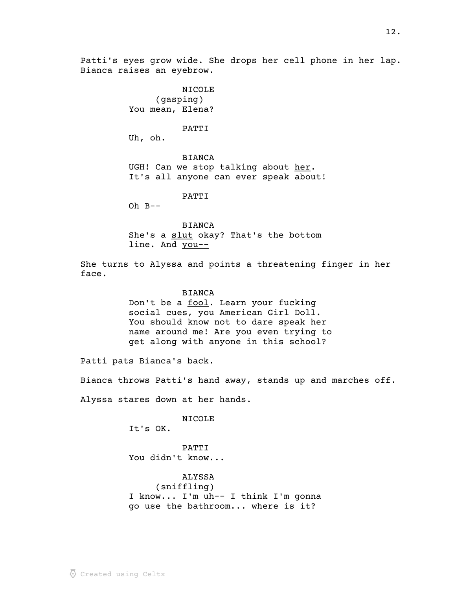Patti's eyes grow wide. She drops her cell phone in her lap. Bianca raises an eyebrow.

> NICOLE (gasping) You mean, Elena?

#### PATTI

Uh, oh.

BIANCA UGH! Can we stop talking about her. It's all anyone can ever speak about!

PATTI

 $Oh B--$ 

BIANCA She's a slut okay? That's the bottom line. And you--

She turns to Alyssa and points a threatening finger in her face.

### **BIANCA**

Don't be a fool. Learn your fucking social cues, you American Girl Doll. You should know not to dare speak her name around me! Are you even trying to get along with anyone in this school?

Patti pats Bianca's back.

Bianca throws Patti's hand away, stands up and marches off.

Alyssa stares down at her hands.

NICOLE

It's OK.

PATTI You didn't know...

ALYSSA

(sniffling) I know... I'm uh-- I think I'm gonna go use the bathroom... where is it?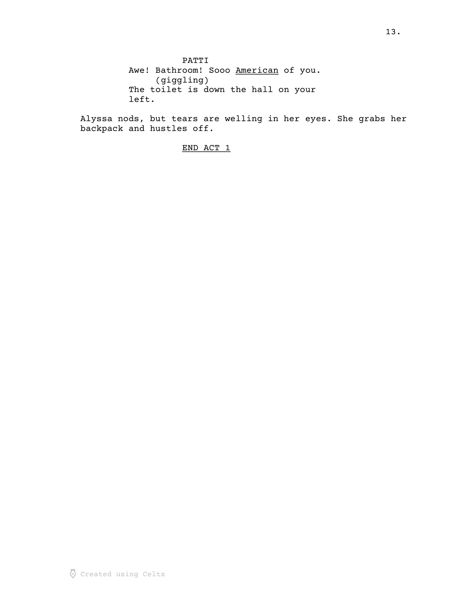PATTI Awe! Bathroom! Sooo American of you. (giggling) The toilet is down the hall on your left.

Alyssa nods, but tears are welling in her eyes. She grabs her backpack and hustles off.

# END ACT 1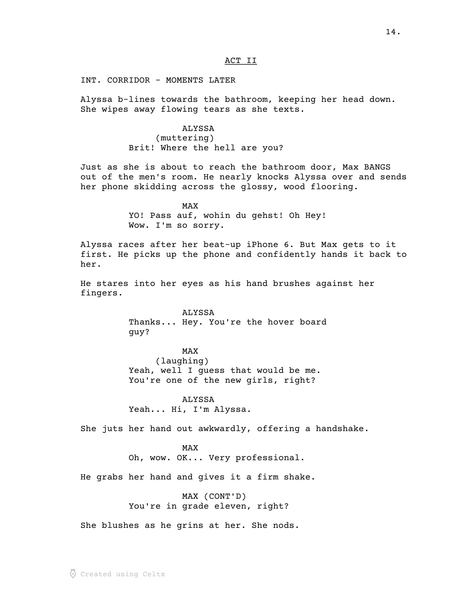### ACT II

INT. CORRIDOR - MOMENTS LATER

Alyssa b-lines towards the bathroom, keeping her head down. She wipes away flowing tears as she texts.

> ALYSSA (muttering) Brit! Where the hell are you?

Just as she is about to reach the bathroom door, Max BANGS out of the men's room. He nearly knocks Alyssa over and sends her phone skidding across the glossy, wood flooring.

> MAX YO! Pass auf, wohin du gehst! Oh Hey! Wow. I'm so sorry.

Alyssa races after her beat-up iPhone 6. But Max gets to it first. He picks up the phone and confidently hands it back to her.

He stares into her eyes as his hand brushes against her fingers.

> ALYSSA Thanks... Hey. You're the hover board guy?

> > MAX

(laughing) Yeah, well I guess that would be me. You're one of the new girls, right?

ALYSSA Yeah... Hi, I'm Alyssa.

She juts her hand out awkwardly, offering a handshake.

MAX Oh, wow. OK... Very professional.

He grabs her hand and gives it a firm shake.

MAX (CONT'D) You're in grade eleven, right?

She blushes as he grins at her. She nods.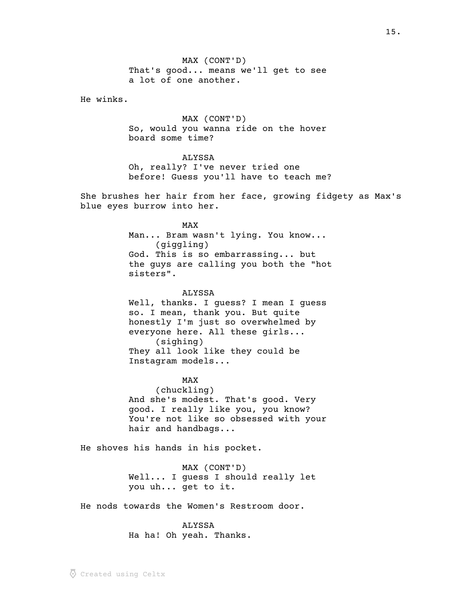MAX (CONT'D) That's good... means we'll get to see a lot of one another.

He winks.

MAX (CONT'D) So, would you wanna ride on the hover board some time?

## ALYSSA

Oh, really? I've never tried one before! Guess you'll have to teach me?

She brushes her hair from her face, growing fidgety as Max's blue eyes burrow into her.

MAX

Man... Bram wasn't lying. You know... (giggling) God. This is so embarrassing... but the guys are calling you both the "hot sisters".

### ALYSSA

Well, thanks. I guess? I mean I guess so. I mean, thank you. But quite honestly I'm just so overwhelmed by everyone here. All these girls... (sighing) They all look like they could be Instagram models...

#### MAX

(chuckling) And she's modest. That's good. Very good. I really like you, you know? You're not like so obsessed with your hair and handbags...

He shoves his hands in his pocket.

MAX (CONT'D) Well... I guess I should really let you uh... get to it.

He nods towards the Women's Restroom door.

### ALYSSA

Ha ha! Oh yeah. Thanks.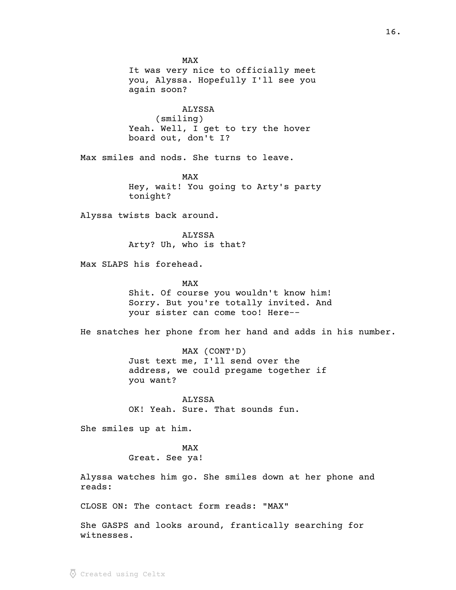MAX It was very nice to officially meet you, Alyssa. Hopefully I'll see you again soon? ALYSSA (smiling) Yeah. Well, I get to try the hover board out, don't I? Max smiles and nods. She turns to leave. MAX Hey, wait! You going to Arty's party tonight? Alyssa twists back around. ALYSSA Arty? Uh, who is that? Max SLAPS his forehead. MAX Shit. Of course you wouldn't know him! Sorry. But you're totally invited. And your sister can come too! Here-- He snatches her phone from her hand and adds in his number. MAX (CONT'D) Just text me, I'll send over the address, we could pregame together if you want? ALYSSA OK! Yeah. Sure. That sounds fun. She smiles up at him. MAX Great. See ya! Alyssa watches him go. She smiles down at her phone and reads: CLOSE ON: The contact form reads: "MAX"

She GASPS and looks around, frantically searching for witnesses.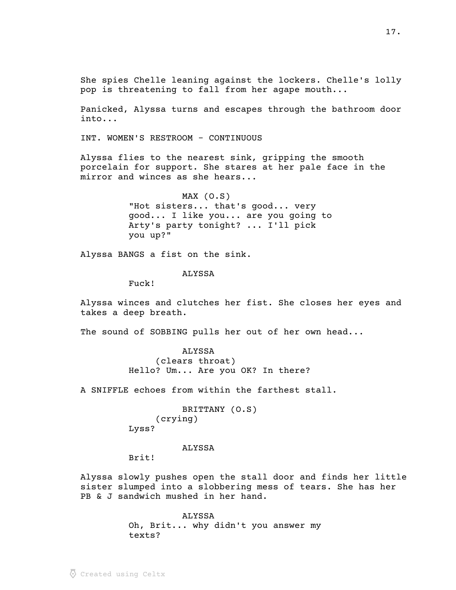She spies Chelle leaning against the lockers. Chelle's lolly pop is threatening to fall from her agape mouth...

Panicked, Alyssa turns and escapes through the bathroom door into...

INT. WOMEN'S RESTROOM - CONTINUOUS

Alyssa flies to the nearest sink, gripping the smooth porcelain for support. She stares at her pale face in the mirror and winces as she hears...

> MAX (O.S) "Hot sisters... that's good... very good... I like you... are you going to Arty's party tonight? ... I'll pick you up?"

Alyssa BANGS a fist on the sink.

### ALYSSA

Fuck!

Alyssa winces and clutches her fist. She closes her eyes and takes a deep breath.

The sound of SOBBING pulls her out of her own head...

ALYSSA (clears throat) Hello? Um... Are you OK? In there?

A SNIFFLE echoes from within the farthest stall.

BRITTANY (O.S) (crying) Lyss?

ALYSSA

Brit!

Alyssa slowly pushes open the stall door and finds her little sister slumped into a slobbering mess of tears. She has her PB & J sandwich mushed in her hand.

> ALYSSA Oh, Brit... why didn't you answer my texts?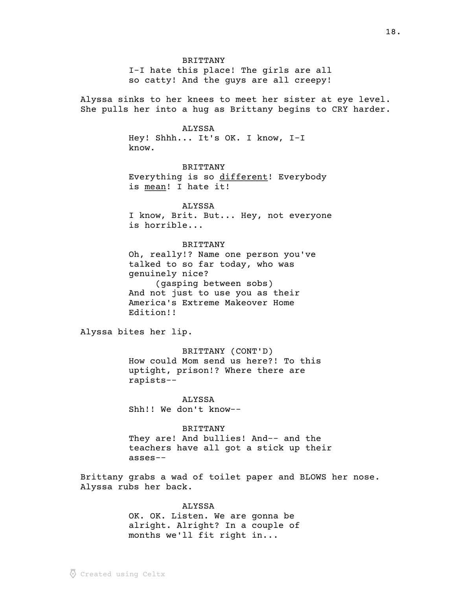I-I hate this place! The girls are all so catty! And the guys are all creepy!

Alyssa sinks to her knees to meet her sister at eye level. She pulls her into a hug as Brittany begins to CRY harder.

#### ALYSSA

Hey! Shhh... It's OK. I know, I-I know.

BRITTANY Everything is so different! Everybody \_\_\_\_\_\_\_\_\_ is mean! I hate it!

# ALYSSA

I know, Brit. But... Hey, not everyone is horrible...

### BRITTANY

Oh, really!? Name one person you've talked to so far today, who was genuinely nice? (gasping between sobs) And not just to use you as their America's Extreme Makeover Home Edition!!

Alyssa bites her lip.

BRITTANY (CONT'D) How could Mom send us here?! To this uptight, prison!? Where there are rapists--

ALYSSA Shh!! We don't know--

#### BRITTANY

They are! And bullies! And-- and the teachers have all got a stick up their asses--

Brittany grabs a wad of toilet paper and BLOWS her nose. Alyssa rubs her back.

## ALYSSA

OK. OK. Listen. We are gonna be alright. Alright? In a couple of months we'll fit right in...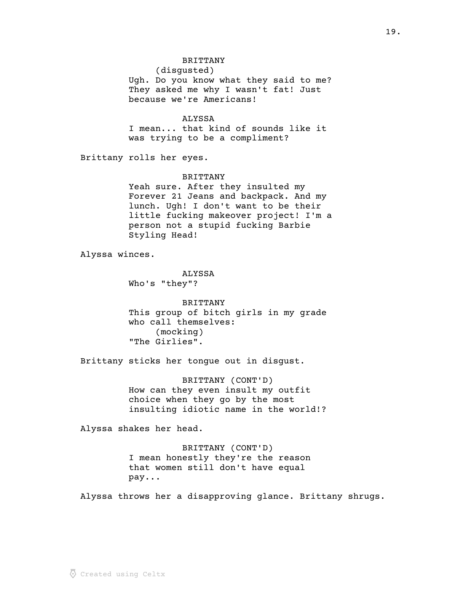## BRITTANY

(disgusted) Ugh. Do you know what they said to me? They asked me why I wasn't fat! Just because we're Americans!

# ALYSSA

I mean... that kind of sounds like it was trying to be a compliment?

Brittany rolls her eyes.

# BRITTANY

Yeah sure. After they insulted my Forever 21 Jeans and backpack. And my lunch. Ugh! I don't want to be their little fucking makeover project! I'm a person not a stupid fucking Barbie Styling Head!

Alyssa winces.

ALYSSA Who's "they"?

BRITTANY This group of bitch girls in my grade who call themselves: (mocking) "The Girlies".

Brittany sticks her tongue out in disgust.

BRITTANY (CONT'D) How can they even insult my outfit choice when they go by the most insulting idiotic name in the world!?

Alyssa shakes her head.

BRITTANY (CONT'D) I mean honestly they're the reason that women still don't have equal pay...

Alyssa throws her a disapproving glance. Brittany shrugs.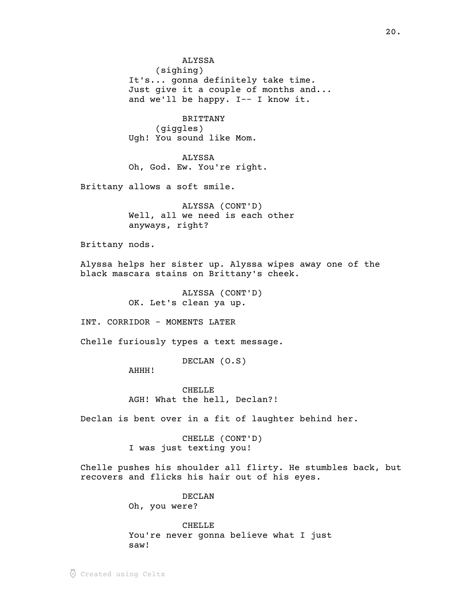ALYSSA

(sighing)

It's... gonna definitely take time. Just give it a couple of months and... and we'll be happy. I-- I know it.

BRITTANY

(giggles) Ugh! You sound like Mom.

ALYSSA Oh, God. Ew. You're right.

Brittany allows a soft smile.

ALYSSA (CONT'D) Well, all we need is each other anyways, right?

Brittany nods.

Alyssa helps her sister up. Alyssa wipes away one of the black mascara stains on Brittany's cheek.

> ALYSSA (CONT'D) OK. Let's clean ya up.

INT. CORRIDOR - MOMENTS LATER

Chelle furiously types a text message.

DECLAN (O.S)

AHHH!

CHELLE AGH! What the hell, Declan?!

Declan is bent over in a fit of laughter behind her.

CHELLE (CONT'D) I was just texting you!

Chelle pushes his shoulder all flirty. He stumbles back, but recovers and flicks his hair out of his eyes.

DECLAN

Oh, you were?

CHELLE

You're never gonna believe what I just saw!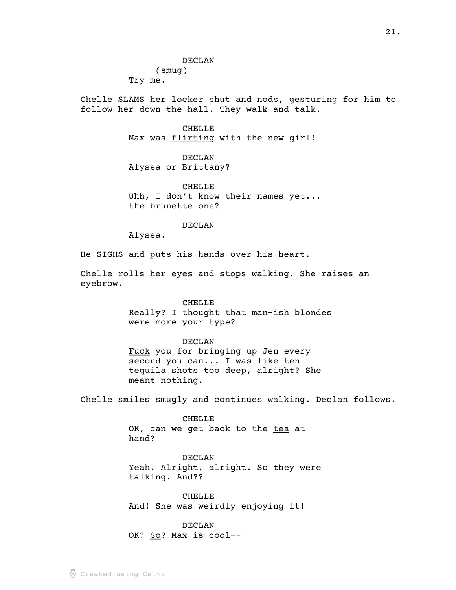(smug) Try me.

Chelle SLAMS her locker shut and nods, gesturing for him to follow her down the hall. They walk and talk.

> **CHELLE** Max was flirting with the new girl!

DECLAN Alyssa or Brittany?

CHELLE Uhh, I don't know their names yet... the brunette one?

DECLAN

Alyssa.

He SIGHS and puts his hands over his heart.

Chelle rolls her eyes and stops walking. She raises an eyebrow.

# CHELLE

Really? I thought that man-ish blondes were more your type?

# DECLAN

Fuck you for bringing up Jen every second you can... I was like ten tequila shots too deep, alright? She meant nothing.

Chelle smiles smugly and continues walking. Declan follows.

CHELLE OK, can we get back to the tea at hand?

DECLAN Yeah. Alright, alright. So they were talking. And??

CHELLE And! She was weirdly enjoying it!

# DECLAN

OK? So? Max is cool--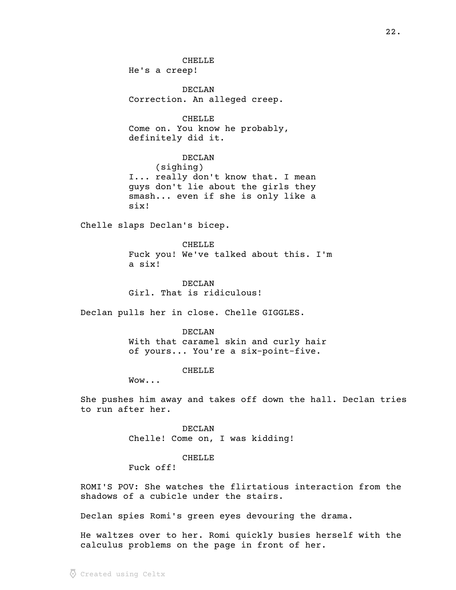CHELLE He's a creep!

DECLAN Correction. An alleged creep.

**CHELLE** Come on. You know he probably, definitely did it.

DECLAN (sighing) I... really don't know that. I mean guys don't lie about the girls they smash... even if she is only like a six!

Chelle slaps Declan's bicep.

CHELLE Fuck you! We've talked about this. I'm a six!

DECLAN Girl. That is ridiculous!

Declan pulls her in close. Chelle GIGGLES.

DECLAN With that caramel skin and curly hair of yours... You're a six-point-five.

CHELLE

Wow...

She pushes him away and takes off down the hall. Declan tries to run after her.

> DECLAN Chelle! Come on, I was kidding!

#### CHELLE

Fuck off!

ROMI'S POV: She watches the flirtatious interaction from the shadows of a cubicle under the stairs.

Declan spies Romi's green eyes devouring the drama.

He waltzes over to her. Romi quickly busies herself with the calculus problems on the page in front of her.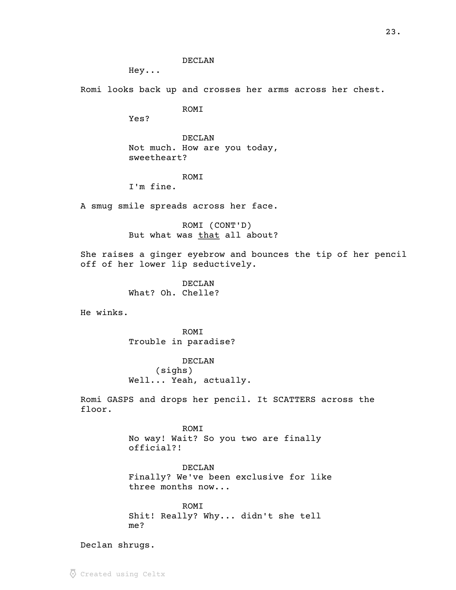DECLAN

Hey...

Romi looks back up and crosses her arms across her chest.

ROMI

Yes?

DECLAN Not much. How are you today, sweetheart?

### ROMI

I'm fine.

A smug smile spreads across her face.

ROMI (CONT'D) But what was that all about?

She raises a ginger eyebrow and bounces the tip of her pencil off of her lower lip seductively.

> DECLAN What? Oh. Chelle?

He winks.

ROMI Trouble in paradise?

DECLAN (sighs) Well... Yeah, actually.

Romi GASPS and drops her pencil. It SCATTERS across the floor.

> ROMI No way! Wait? So you two are finally official?!

DECLAN Finally? We've been exclusive for like three months now...

ROMI Shit! Really? Why... didn't she tell me?

Declan shrugs.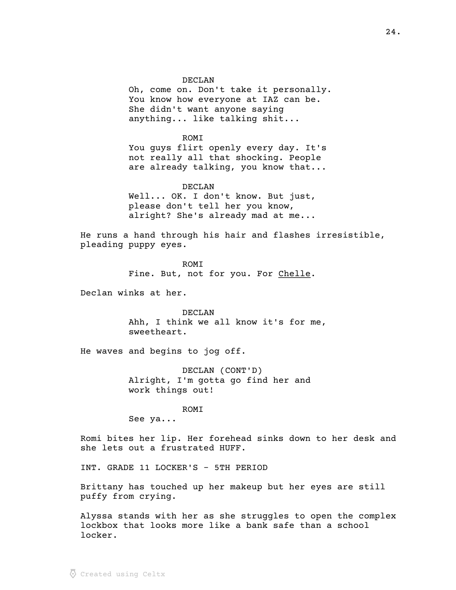DECLAN

Oh, come on. Don't take it personally. You know how everyone at IAZ can be. She didn't want anyone saying anything... like talking shit...

ROMI You guys flirt openly every day. It's not really all that shocking. People are already talking, you know that...

DECLAN Well... OK. I don't know. But just, please don't tell her you know, alright? She's already mad at me...

He runs a hand through his hair and flashes irresistible, pleading puppy eyes.

> **ROMT** Fine. But, not for you. For Chelle.

Declan winks at her.

DECLAN Ahh, I think we all know it's for me, sweetheart.

He waves and begins to jog off.

DECLAN (CONT'D) Alright, I'm gotta go find her and work things out!

ROMI

See ya...

Romi bites her lip. Her forehead sinks down to her desk and she lets out a frustrated HUFF.

INT. GRADE 11 LOCKER'S - 5TH PERIOD

Brittany has touched up her makeup but her eyes are still puffy from crying.

Alyssa stands with her as she struggles to open the complex lockbox that looks more like a bank safe than a school locker.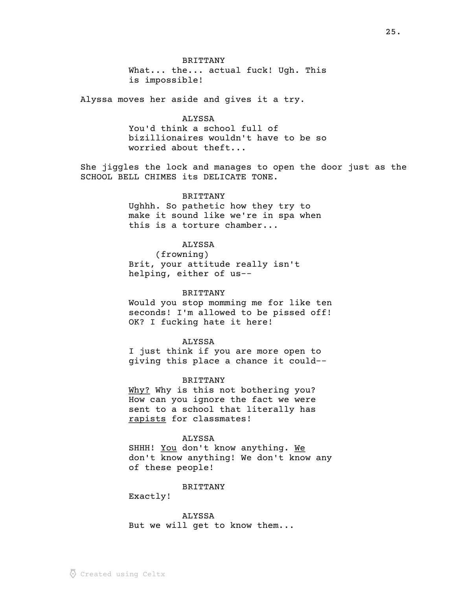### BRITTANY

What... the... actual fuck! Ugh. This is impossible!

Alyssa moves her aside and gives it a try.

## ALYSSA

You'd think a school full of bizillionaires wouldn't have to be so worried about theft...

She jiggles the lock and manages to open the door just as the SCHOOL BELL CHIMES its DELICATE TONE.

### BRITTANY

Ughhh. So pathetic how they try to make it sound like we're in spa when this is a torture chamber...

#### ALYSSA

(frowning) Brit, your attitude really isn't helping, either of us--

#### BRITTANY

Would you stop momming me for like ten seconds! I'm allowed to be pissed off! OK? I fucking hate it here!

#### ALYSSA

I just think if you are more open to giving this place a chance it could--

#### BRITTANY

Why? Why is this not bothering you? How can you ignore the fact we were sent to a school that literally has rapists for classmates!

#### ALYSSA

SHHH! You don't know anything. We don't know anything! We don't know any of these people!

#### BRITTANY

Exactly!

ALYSSA But we will get to know them...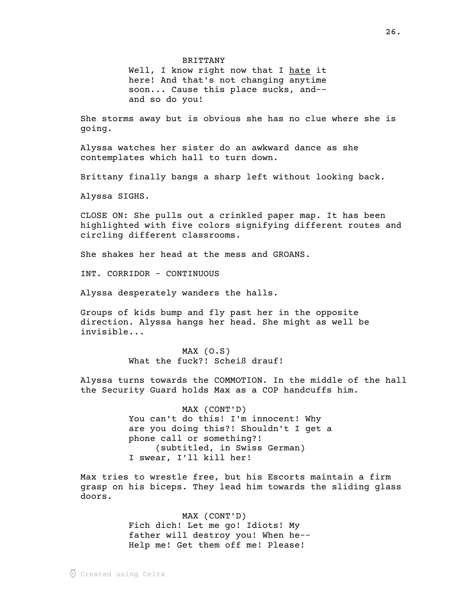BRITTANY

Well, I know right now that I hate it here! And that's not changing anytime soon... Cause this place sucks, and- and so do you!

She storms away but is obvious she has no clue where she is going.

Alyssa watches her sister do an awkward dance as she contemplates which hall to turn down.

Brittany finally bangs a sharp left without looking back.

Alyssa SIGHS.

CLOSE ON: She pulls out a crinkled paper map. It has been highlighted with five colors signifying different routes and circling different classrooms.

She shakes her head at the mess and GROANS.

INT. CORRIDOR - CONTINUOUS

Alyssa desperately wanders the halls.

Groups of kids bump and fly past her in the opposite direction. Alyssa hangs her head. She might as well be invisible...

> MAX (O.S) What the fuck?! Scheiß drauf!

Alyssa turns towards the COMMOTION. In the middle of the hall the Security Guard holds Max as a COP handcuffs him.

> MAX (CONT'D) You can't do this! I'm innocent! Why are you doing this?! Shouldn't I get a phone call or something?! (subtitled, in Swiss German) I swear, I'll kill her!

Max tries to wrestle free, but his Escorts maintain a firm grasp on his biceps. They lead him towards the sliding glass doors.

> MAX (CONT'D) Fich dich! Let me go! Idiots! My father will destroy you! When he-- Help me! Get them off me! Please!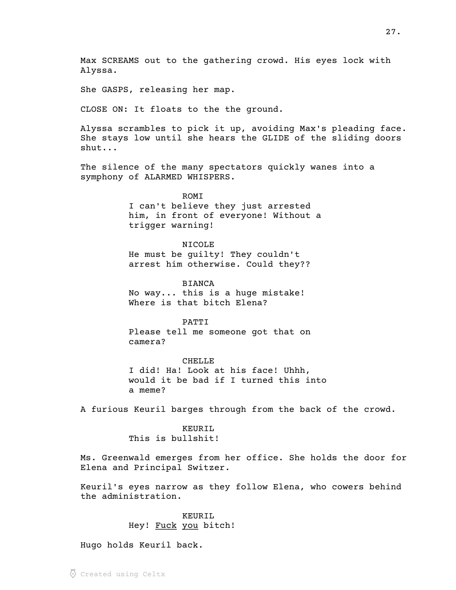Max SCREAMS out to the gathering crowd. His eyes lock with Alyssa.

She GASPS, releasing her map.

CLOSE ON: It floats to the the ground.

Alyssa scrambles to pick it up, avoiding Max's pleading face. She stays low until she hears the GLIDE of the sliding doors shut...

The silence of the many spectators quickly wanes into a symphony of ALARMED WHISPERS.

> ROMI I can't believe they just arrested him, in front of everyone! Without a trigger warning!

NICOLE He must be guilty! They couldn't arrest him otherwise. Could they??

BIANCA No way... this is a huge mistake! Where is that bitch Elena?

PATTI Please tell me someone got that on camera?

CHELLE I did! Ha! Look at his face! Uhhh, would it be bad if I turned this into a meme?

A furious Keuril barges through from the back of the crowd.

KEURIL This is bullshit!

Ms. Greenwald emerges from her office. She holds the door for Elena and Principal Switzer.

Keuril's eyes narrow as they follow Elena, who cowers behind the administration.

> KEURIL Hey! Fuck you bitch!

Hugo holds Keuril back.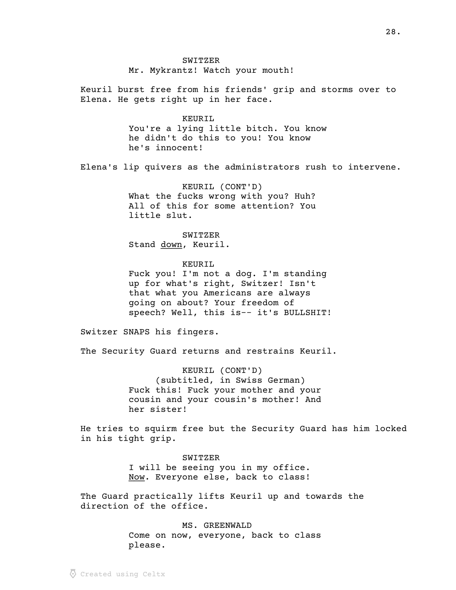SWITZER Mr. Mykrantz! Watch your mouth!

Keuril burst free from his friends' grip and storms over to Elena. He gets right up in her face.

> KEURIL. You're a lying little bitch. You know he didn't do this to you! You know he's innocent!

Elena's lip quivers as the administrators rush to intervene.

KEURIL (CONT'D) What the fucks wrong with you? Huh? All of this for some attention? You little slut.

SWITZER Stand down, Keuril.

KEURIL Fuck you! I'm not a dog. I'm standing up for what's right, Switzer! Isn't that what you Americans are always going on about? Your freedom of speech? Well, this is-- it's BULLSHIT!

Switzer SNAPS his fingers.

The Security Guard returns and restrains Keuril.

KEURIL (CONT'D) (subtitled, in Swiss German) Fuck this! Fuck your mother and your cousin and your cousin's mother! And her sister!

He tries to squirm free but the Security Guard has him locked in his tight grip.

> SWITZER I will be seeing you in my office. Now. Everyone else, back to class!

The Guard practically lifts Keuril up and towards the direction of the office.

> MS. GREENWALD Come on now, everyone, back to class please.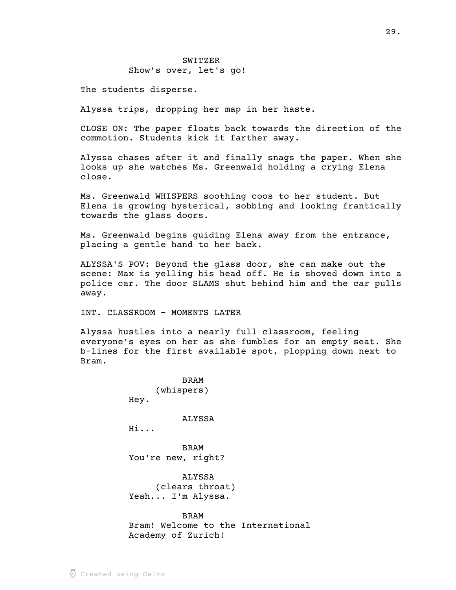The students disperse.

Alyssa trips, dropping her map in her haste.

CLOSE ON: The paper floats back towards the direction of the commotion. Students kick it farther away.

Alyssa chases after it and finally snags the paper. When she looks up she watches Ms. Greenwald holding a crying Elena close.

Ms. Greenwald WHISPERS soothing coos to her student. But Elena is growing hysterical, sobbing and looking frantically towards the glass doors.

Ms. Greenwald begins guiding Elena away from the entrance, placing a gentle hand to her back.

ALYSSA'S POV: Beyond the glass door, she can make out the scene: Max is yelling his head off. He is shoved down into a police car. The door SLAMS shut behind him and the car pulls away.

INT. CLASSROOM - MOMENTS LATER

Alyssa hustles into a nearly full classroom, feeling everyone's eyes on her as she fumbles for an empty seat. She b-lines for the first available spot, plopping down next to Bram.

> BRAM (whispers) Hey.

> > ALYSSA

Hi...

BRAM You're new, right?

ALYSSA (clears throat) Yeah... I'm Alyssa.

#### BRAM

Bram! Welcome to the International Academy of Zurich!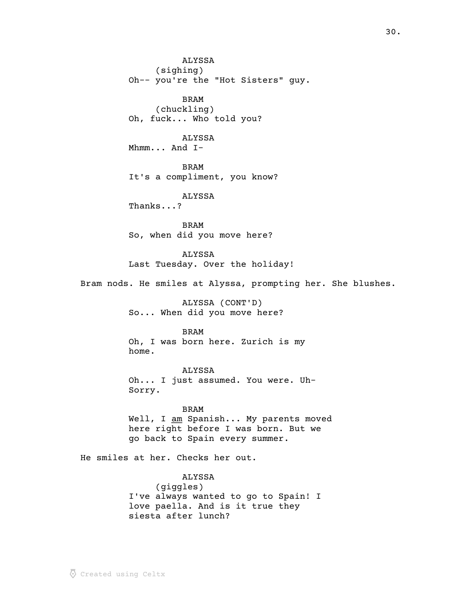ALYSSA (sighing) Oh-- you're the "Hot Sisters" guy. BRAM (chuckling) Oh, fuck... Who told you? ALYSSA Mhmm... And I-BRAM It's a compliment, you know? ALYSSA Thanks...? BRAM So, when did you move here? ALYSSA Last Tuesday. Over the holiday! Bram nods. He smiles at Alyssa, prompting her. She blushes. ALYSSA (CONT'D) So... When did you move here? BRAM Oh, I was born here. Zurich is my home.

ALYSSA Oh... I just assumed. You were. Uh-Sorry.

BRAM Well, I  $\underline{am}$  Spanish... My parents moved here right before I was born. But we go back to Spain every summer.

He smiles at her. Checks her out.

ALYSSA (giggles) I've always wanted to go to Spain! I love paella. And is it true they siesta after lunch?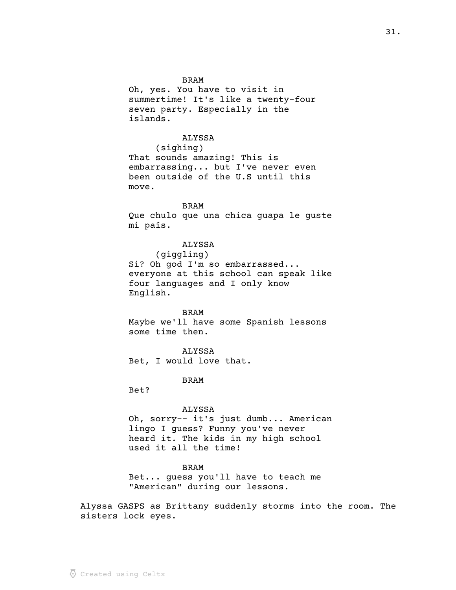Oh, yes. You have to visit in summertime! It's like a twenty-four seven party. Especially in the islands.

# ALYSSA

(sighing) That sounds amazing! This is embarrassing... but I've never even been outside of the U.S until this move.

#### BRAM

Que chulo que una chica guapa le guste mi país.

### ALYSSA

(giggling)

Si? Oh god I'm so embarrassed... everyone at this school can speak like four languages and I only know English.

#### BRAM

Maybe we'll have some Spanish lessons some time then.

### ALYSSA

Bet, I would love that.

### BRAM

Bet?

### ALYSSA

Oh, sorry-- it's just dumb... American lingo I guess? Funny you've never heard it. The kids in my high school used it all the time!

### BRAM

Bet... guess you'll have to teach me "American" during our lessons.

Alyssa GASPS as Brittany suddenly storms into the room. The sisters lock eyes.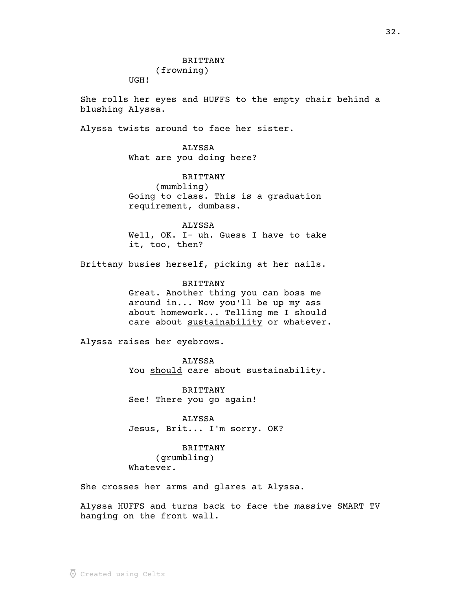(frowning)

UGH!

She rolls her eyes and HUFFS to the empty chair behind a blushing Alyssa.

Alyssa twists around to face her sister.

ALYSSA What are you doing here?

BRITTANY (mumbling) Going to class. This is a graduation requirement, dumbass.

ALYSSA Well, OK. I- uh. Guess I have to take it, too, then?

Brittany busies herself, picking at her nails.

BRITTANY Great. Another thing you can boss me around in... Now you'll be up my ass about homework... Telling me I should care about sustainability or whatever.

Alyssa raises her eyebrows.

ALYSSA You should care about sustainability.

BRITTANY See! There you go again!

ALYSSA Jesus, Brit... I'm sorry. OK?

BRITTANY (grumbling) Whatever.

She crosses her arms and glares at Alyssa.

Alyssa HUFFS and turns back to face the massive SMART TV hanging on the front wall.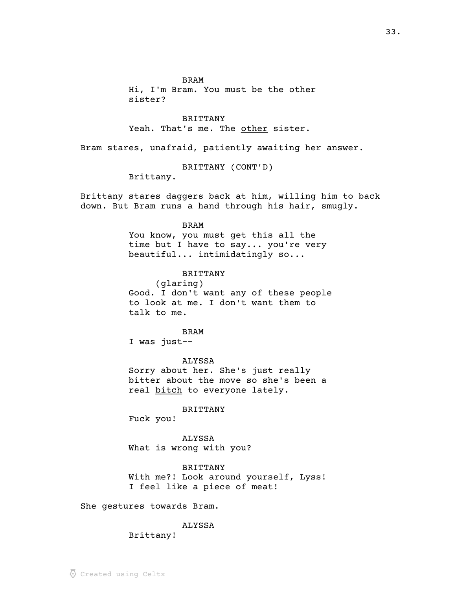BRAM

Hi, I'm Bram. You must be the other sister?

BRITTANY Yeah. That's me. The other sister.

Bram stares, unafraid, patiently awaiting her answer.

BRITTANY (CONT'D)

Brittany.

Brittany stares daggers back at him, willing him to back down. But Bram runs a hand through his hair, smugly.

# BRAM

You know, you must get this all the time but I have to say... you're very beautiful... intimidatingly so...

### BRITTANY

(glaring) Good. I don't want any of these people to look at me. I don't want them to talk to me.

BRAM

I was just--

ALYSSA Sorry about her. She's just really bitter about the move so she's been a real bitch to everyone lately.

#### BRITTANY

Fuck you!

ALYSSA What is wrong with you?

### BRITTANY

With me?! Look around yourself, Lyss! I feel like a piece of meat!

She gestures towards Bram.

#### ALYSSA

Brittany!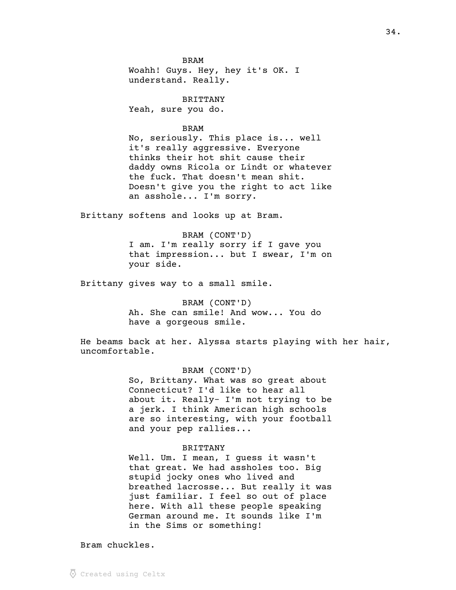BRAM Woahh! Guys. Hey, hey it's OK. I understand. Really.

BRITTANY Yeah, sure you do.

### BRAM

No, seriously. This place is... well it's really aggressive. Everyone thinks their hot shit cause their daddy owns Ricola or Lindt or whatever the fuck. That doesn't mean shit. Doesn't give you the right to act like an asshole... I'm sorry.

Brittany softens and looks up at Bram.

BRAM (CONT'D) I am. I'm really sorry if I gave you that impression... but I swear, I'm on your side.

Brittany gives way to a small smile.

BRAM (CONT'D) Ah. She can smile! And wow... You do have a gorgeous smile.

He beams back at her. Alyssa starts playing with her hair, uncomfortable.

### BRAM (CONT'D)

So, Brittany. What was so great about Connecticut? I'd like to hear all about it. Really- I'm not trying to be a jerk. I think American high schools are so interesting, with your football and your pep rallies...

#### BRITTANY

Well. Um. I mean, I guess it wasn't that great. We had assholes too. Big stupid jocky ones who lived and breathed lacrosse... But really it was just familiar. I feel so out of place here. With all these people speaking German around me. It sounds like I'm in the Sims or something!

Bram chuckles.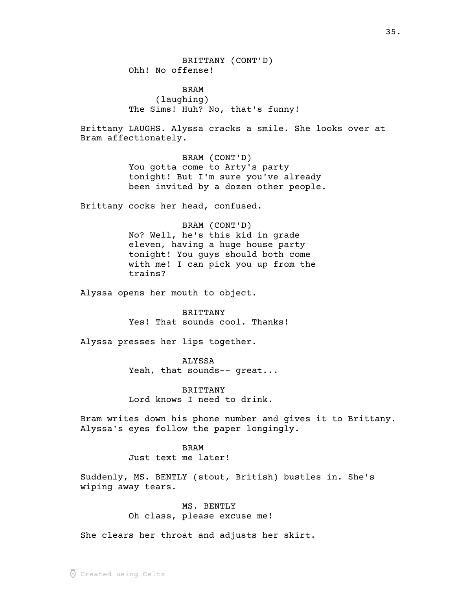BRITTANY (CONT'D) Ohh! No offense!

BRAM (laughing) The Sims! Huh? No, that's funny!

Brittany LAUGHS. Alyssa cracks a smile. She looks over at Bram affectionately.

> BRAM (CONT'D) You gotta come to Arty's party tonight! But I'm sure you've already been invited by a dozen other people.

Brittany cocks her head, confused.

BRAM (CONT'D) No? Well, he's this kid in grade eleven, having a huge house party tonight! You guys should both come with me! I can pick you up from the trains?

Alyssa opens her mouth to object.

BRITTANY Yes! That sounds cool. Thanks!

Alyssa presses her lips together.

ALYSSA Yeah, that sounds-- great...

BRITTANY Lord knows I need to drink.

Bram writes down his phone number and gives it to Brittany. Alyssa's eyes follow the paper longingly.

> BRAM Just text me later!

Suddenly, MS. BENTLY (stout, British) bustles in. She's wiping away tears.

> MS. BENTLY Oh class, please excuse me!

She clears her throat and adjusts her skirt.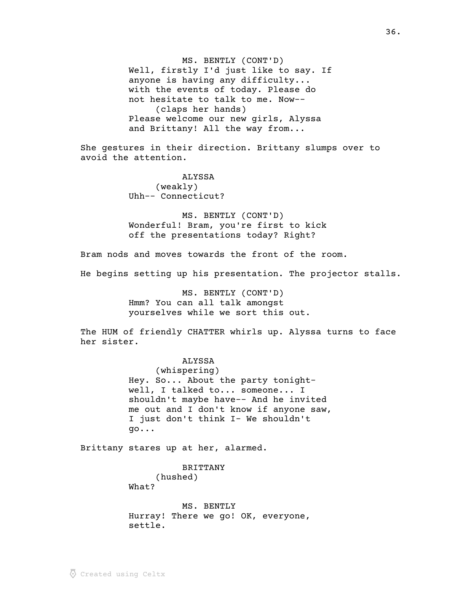MS. BENTLY (CONT'D) Well, firstly I'd just like to say. If anyone is having any difficulty... with the events of today. Please do not hesitate to talk to me. Now-- (claps her hands) Please welcome our new girls, Alyssa and Brittany! All the way from...

She gestures in their direction. Brittany slumps over to avoid the attention.

> ALYSSA (weakly) Uhh-- Connecticut?

MS. BENTLY (CONT'D) Wonderful! Bram, you're first to kick off the presentations today? Right?

Bram nods and moves towards the front of the room.

He begins setting up his presentation. The projector stalls.

MS. BENTLY (CONT'D) Hmm? You can all talk amongst yourselves while we sort this out.

The HUM of friendly CHATTER whirls up. Alyssa turns to face her sister.

## ALYSSA

(whispering) Hey. So... About the party tonightwell, I talked to... someone... I shouldn't maybe have-- And he invited me out and I don't know if anyone saw, I just don't think I- We shouldn't go...

Brittany stares up at her, alarmed.

BRITTANY

(hushed) What?

MS. BENTLY Hurray! There we go! OK, everyone, settle.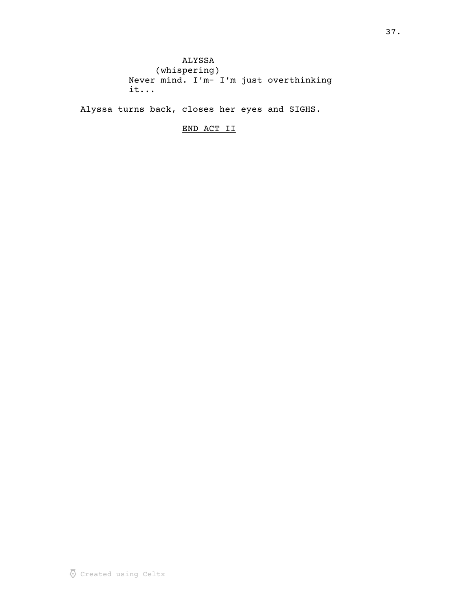ALYSSA (whispering) Never mind. I'm- I'm just overthinking it...

Alyssa turns back, closes her eyes and SIGHS.

END ACT II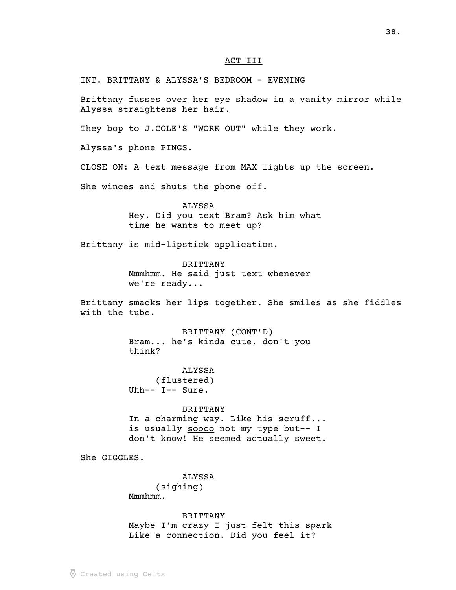### ACT III

INT. BRITTANY & ALYSSA'S BEDROOM - EVENING

Brittany fusses over her eye shadow in a vanity mirror while Alyssa straightens her hair.

They bop to J.COLE'S "WORK OUT" while they work.

Alyssa's phone PINGS.

CLOSE ON: A text message from MAX lights up the screen.

She winces and shuts the phone off.

#### ALYSSA

Hey. Did you text Bram? Ask him what time he wants to meet up?

Brittany is mid-lipstick application.

BRITTANY Mmmhmm. He said just text whenever we're ready...

Brittany smacks her lips together. She smiles as she fiddles with the tube.

> BRITTANY (CONT'D) Bram... he's kinda cute, don't you think?

ALYSSA (flustered) Uhh-- I-- Sure.

#### BRITTANY

In a charming way. Like his scruff... is usually soooo not my type but-- I don't know! He seemed actually sweet.

She GIGGLES.

ALYSSA (sighing) Mmmhmm.

BRITTANY Maybe I'm crazy I just felt this spark Like a connection. Did you feel it?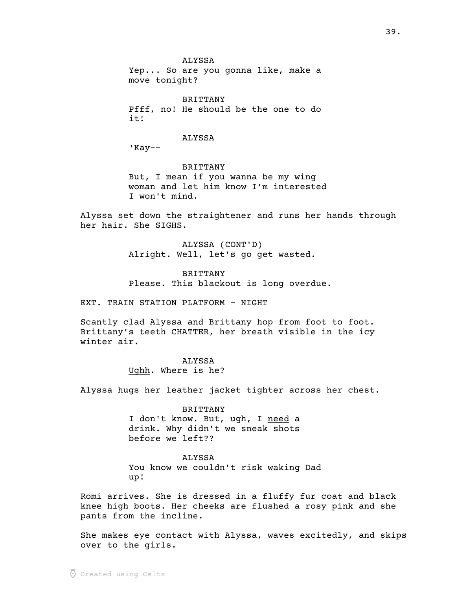ALYSSA Yep... So are you gonna like, make a move tonight?

BRITTANY Pfff, no! He should be the one to do it!

#### ALYSSA

'Kay--

BRITTANY But, I mean if you wanna be my wing woman and let him know I'm interested I won't mind.

Alyssa set down the straightener and runs her hands through her hair. She SIGHS.

> ALYSSA (CONT'D) Alright. Well, let's go get wasted.

BRITTANY Please. This blackout is long overdue.

EXT. TRAIN STATION PLATFORM - NIGHT

Scantly clad Alyssa and Brittany hop from foot to foot. Brittany's teeth CHATTER, her breath visible in the icy winter air.

> ALYSSA Ughh. Where is he?

Alyssa hugs her leather jacket tighter across her chest.

BRITTANY I don't know. But, ugh, I need a drink. Why didn't we sneak shots before we left??

ALYSSA You know we couldn't risk waking Dad up!

Romi arrives. She is dressed in a fluffy fur coat and black knee high boots. Her cheeks are flushed a rosy pink and she pants from the incline.

She makes eye contact with Alyssa, waves excitedly, and skips over to the girls.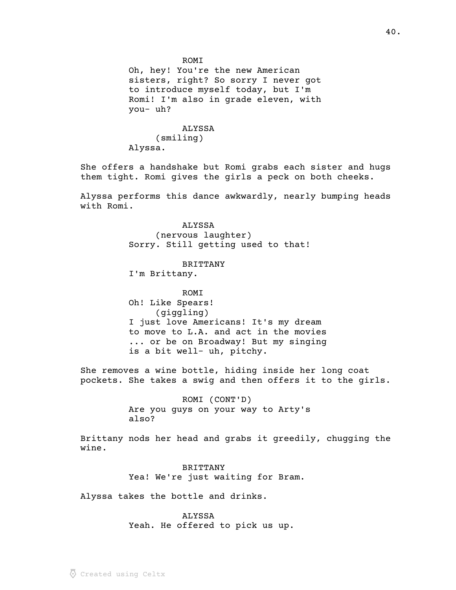Oh, hey! You're the new American sisters, right? So sorry I never got to introduce myself today, but I'm Romi! I'm also in grade eleven, with you- uh?

# ALYSSA (smiling) Alyssa.

She offers a handshake but Romi grabs each sister and hugs them tight. Romi gives the girls a peck on both cheeks.

Alyssa performs this dance awkwardly, nearly bumping heads with Romi.

> ALYSSA (nervous laughter) Sorry. Still getting used to that!

### BRITTANY

I'm Brittany.

**ROMT** Oh! Like Spears! (giggling) I just love Americans! It's my dream to move to L.A. and act in the movies ... or be on Broadway! But my singing is a bit well- uh, pitchy.

She removes a wine bottle, hiding inside her long coat pockets. She takes a swig and then offers it to the girls.

> ROMI (CONT'D) Are you guys on your way to Arty's also?

Brittany nods her head and grabs it greedily, chugging the wine.

> BRITTANY Yea! We're just waiting for Bram.

Alyssa takes the bottle and drinks.

ALYSSA Yeah. He offered to pick us up.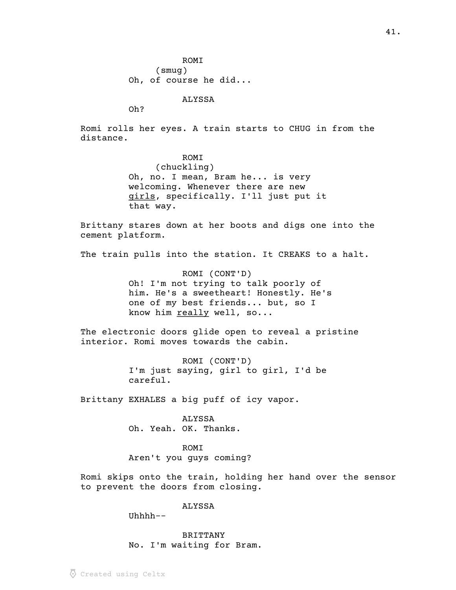ROMI (smug) Oh, of course he did...

ALYSSA

Oh?

Romi rolls her eyes. A train starts to CHUG in from the distance.

> ROMI (chuckling) Oh, no. I mean, Bram he... is very welcoming. Whenever there are new girls, specifically. I'll just put it that way.

Brittany stares down at her boots and digs one into the cement platform.

The train pulls into the station. It CREAKS to a halt.

ROMI (CONT'D) Oh! I'm not trying to talk poorly of him. He's a sweetheart! Honestly. He's one of my best friends... but, so I know him really well, so...

The electronic doors glide open to reveal a pristine interior. Romi moves towards the cabin.

> ROMI (CONT'D) I'm just saying, girl to girl, I'd be careful.

Brittany EXHALES a big puff of icy vapor.

ALYSSA Oh. Yeah. OK. Thanks.

ROMI Aren't you guys coming?

Romi skips onto the train, holding her hand over the sensor to prevent the doors from closing.

ALYSSA

Uhhhh--

BRITTANY No. I'm waiting for Bram.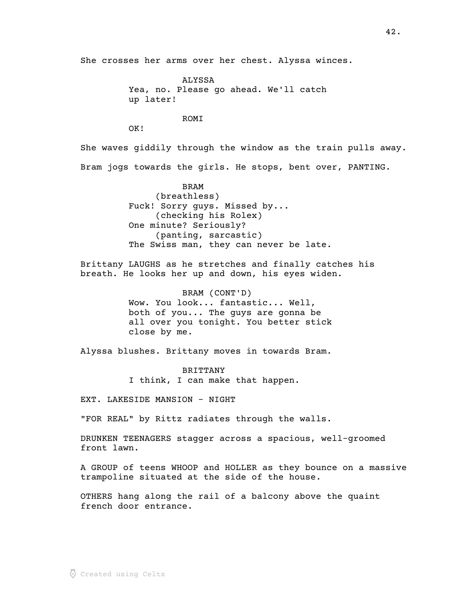She crosses her arms over her chest. Alyssa winces.

ALYSSA Yea, no. Please go ahead. We'll catch up later!

**ROMT** 

OK!

She waves giddily through the window as the train pulls away. Bram jogs towards the girls. He stops, bent over, PANTING.

> BRAM (breathless) Fuck! Sorry guys. Missed by... (checking his Rolex) One minute? Seriously? (panting, sarcastic) The Swiss man, they can never be late.

Brittany LAUGHS as he stretches and finally catches his breath. He looks her up and down, his eyes widen.

> BRAM (CONT'D) Wow. You look... fantastic... Well, both of you... The guys are gonna be all over you tonight. You better stick close by me.

Alyssa blushes. Brittany moves in towards Bram.

BRITTANY I think, I can make that happen.

EXT. LAKESIDE MANSION - NIGHT

"FOR REAL" by Rittz radiates through the walls.

DRUNKEN TEENAGERS stagger across a spacious, well-groomed front lawn.

A GROUP of teens WHOOP and HOLLER as they bounce on a massive trampoline situated at the side of the house.

OTHERS hang along the rail of a balcony above the quaint french door entrance.

42.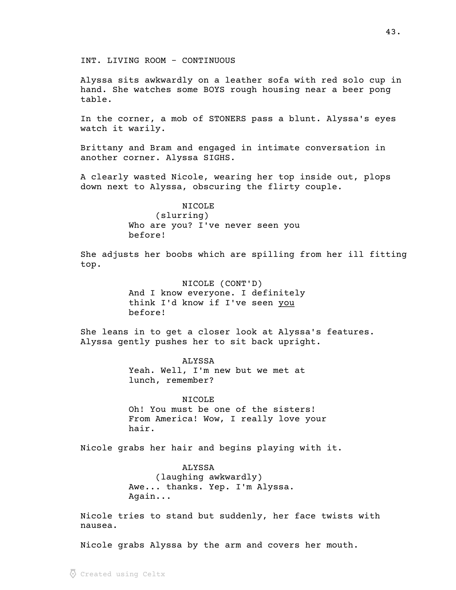INT. LIVING ROOM - CONTINUOUS

Alyssa sits awkwardly on a leather sofa with red solo cup in hand. She watches some BOYS rough housing near a beer pong table.

In the corner, a mob of STONERS pass a blunt. Alyssa's eyes watch it warily.

Brittany and Bram and engaged in intimate conversation in another corner. Alyssa SIGHS.

A clearly wasted Nicole, wearing her top inside out, plops down next to Alyssa, obscuring the flirty couple.

> NICOLE (slurring) Who are you? I've never seen you before!

She adjusts her boobs which are spilling from her ill fitting top.

> NICOLE (CONT'D) And I know everyone. I definitely think I'd know if I've seen you before!

She leans in to get a closer look at Alyssa's features. Alyssa gently pushes her to sit back upright.

> ALYSSA Yeah. Well, I'm new but we met at lunch, remember?

**NICOLE** Oh! You must be one of the sisters! From America! Wow, I really love your hair.

Nicole grabs her hair and begins playing with it.

ALYSSA (laughing awkwardly) Awe... thanks. Yep. I'm Alyssa. Again...

Nicole tries to stand but suddenly, her face twists with nausea.

Nicole grabs Alyssa by the arm and covers her mouth.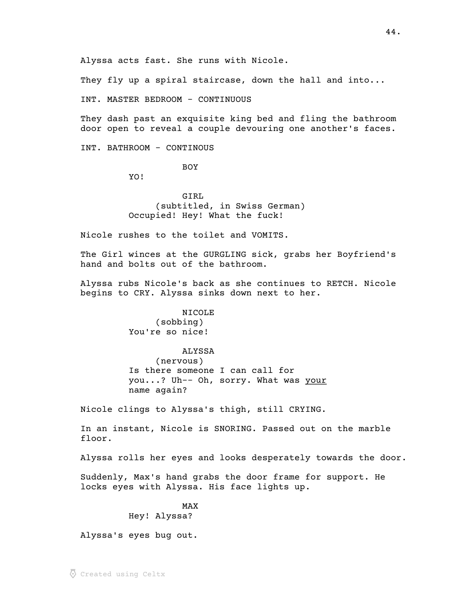Alyssa acts fast. She runs with Nicole.

They fly up a spiral staircase, down the hall and into...

INT. MASTER BEDROOM - CONTINUOUS

They dash past an exquisite king bed and fling the bathroom door open to reveal a couple devouring one another's faces.

INT. BATHROOM - CONTINOUS

BOY

YO!

GIRL (subtitled, in Swiss German) Occupied! Hey! What the fuck!

Nicole rushes to the toilet and VOMITS.

The Girl winces at the GURGLING sick, grabs her Boyfriend's hand and bolts out of the bathroom.

Alyssa rubs Nicole's back as she continues to RETCH. Nicole begins to CRY. Alyssa sinks down next to her.

> NICOLE (sobbing) You're so nice!

ALYSSA (nervous) Is there someone I can call for you...? Uh-- Oh, sorry. What was your name again?

Nicole clings to Alyssa's thigh, still CRYING.

In an instant, Nicole is SNORING. Passed out on the marble floor.

Alyssa rolls her eyes and looks desperately towards the door.

Suddenly, Max's hand grabs the door frame for support. He locks eyes with Alyssa. His face lights up.

> MAX Hey! Alyssa?

Alyssa's eyes bug out.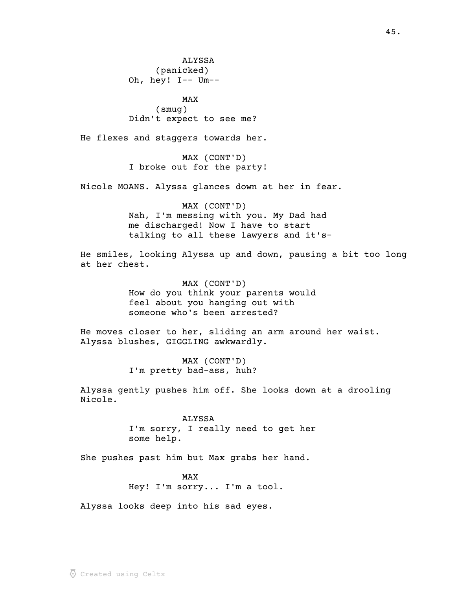ALYSSA (panicked) Oh, hey! I-- Um--

MAX (smug) Didn't expect to see me?

He flexes and staggers towards her.

MAX (CONT'D) I broke out for the party!

Nicole MOANS. Alyssa glances down at her in fear.

MAX (CONT'D) Nah, I'm messing with you. My Dad had me discharged! Now I have to start talking to all these lawyers and it's-

He smiles, looking Alyssa up and down, pausing a bit too long at her chest.

> MAX (CONT'D) How do you think your parents would feel about you hanging out with someone who's been arrested?

He moves closer to her, sliding an arm around her waist. Alyssa blushes, GIGGLING awkwardly.

> MAX (CONT'D) I'm pretty bad-ass, huh?

Alyssa gently pushes him off. She looks down at a drooling Nicole.

> ALYSSA I'm sorry, I really need to get her some help.

She pushes past him but Max grabs her hand.

MAX Hey! I'm sorry... I'm a tool.

Alyssa looks deep into his sad eyes.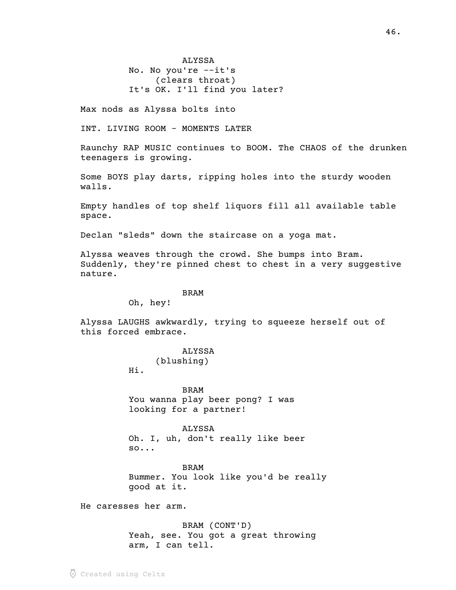ALYSSA No. No you're --it's (clears throat) It's OK. I'll find you later?

Max nods as Alyssa bolts into

INT. LIVING ROOM - MOMENTS LATER

Raunchy RAP MUSIC continues to BOOM. The CHAOS of the drunken teenagers is growing.

Some BOYS play darts, ripping holes into the sturdy wooden walls.

Empty handles of top shelf liquors fill all available table space.

Declan "sleds" down the staircase on a yoga mat.

Alyssa weaves through the crowd. She bumps into Bram. Suddenly, they're pinned chest to chest in a very suggestive nature.

#### BRAM

Oh, hey!

Alyssa LAUGHS awkwardly, trying to squeeze herself out of this forced embrace.

### ALYSSA

(blushing)

Hi.

BRAM You wanna play beer pong? I was looking for a partner!

#### ALYSSA

Oh. I, uh, don't really like beer so...

BRAM Bummer. You look like you'd be really good at it.

He caresses her arm.

BRAM (CONT'D) Yeah, see. You got a great throwing arm, I can tell.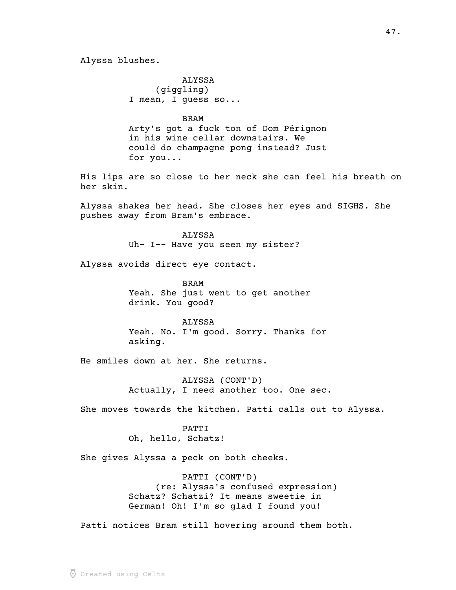Alyssa blushes.

ALYSSA (giggling) I mean, I guess so...

BRAM

Arty's got a fuck ton of Dom Pérignon in his wine cellar downstairs. We could do champagne pong instead? Just for you...

His lips are so close to her neck she can feel his breath on her skin.

Alyssa shakes her head. She closes her eyes and SIGHS. She pushes away from Bram's embrace.

> ALYSSA Uh- I-- Have you seen my sister?

Alyssa avoids direct eye contact.

BRAM Yeah. She just went to get another drink. You good?

ALYSSA Yeah. No. I'm good. Sorry. Thanks for asking.

He smiles down at her. She returns.

ALYSSA (CONT'D) Actually, I need another too. One sec.

She moves towards the kitchen. Patti calls out to Alyssa.

PATTI Oh, hello, Schatz!

She gives Alyssa a peck on both cheeks.

PATTI (CONT'D) (re: Alyssa's confused expression) Schatz? Schatzi? It means sweetie in German! Oh! I'm so glad I found you!

Patti notices Bram still hovering around them both.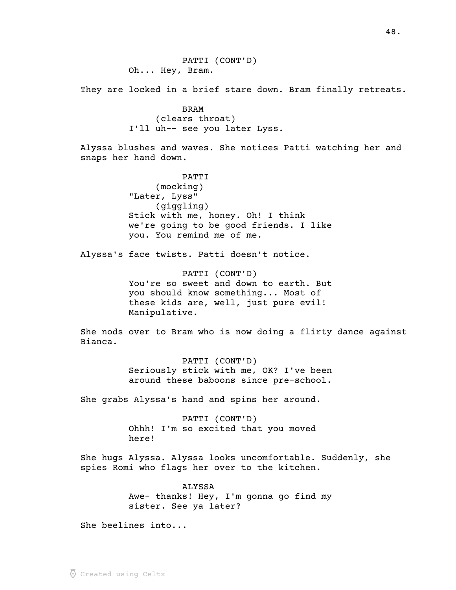PATTI (CONT'D) Oh... Hey, Bram.

They are locked in a brief stare down. Bram finally retreats.

BRAM (clears throat) I'll uh-- see you later Lyss.

Alyssa blushes and waves. She notices Patti watching her and snaps her hand down.

> PATTI (mocking) "Later, Lyss" (giggling) Stick with me, honey. Oh! I think we're going to be good friends. I like you. You remind me of me.

Alyssa's face twists. Patti doesn't notice.

PATTI (CONT'D) You're so sweet and down to earth. But you should know something... Most of these kids are, well, just pure evil! Manipulative.

She nods over to Bram who is now doing a flirty dance against Bianca.

> PATTI (CONT'D) Seriously stick with me, OK? I've been around these baboons since pre-school.

She grabs Alyssa's hand and spins her around.

PATTI (CONT'D) Ohhh! I'm so excited that you moved here!

She hugs Alyssa. Alyssa looks uncomfortable. Suddenly, she spies Romi who flags her over to the kitchen.

> ALYSSA Awe- thanks! Hey, I'm gonna go find my sister. See ya later?

She beelines into...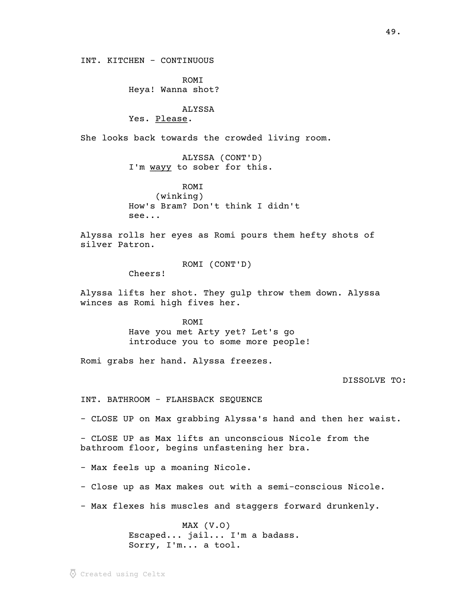INT. KITCHEN - CONTINUOUS

ROMI Heya! Wanna shot?

#### ALYSSA

Yes. Please.

She looks back towards the crowded living room.

ALYSSA (CONT'D) I'm wayy to sober for this.

ROMI (winking) How's Bram? Don't think I didn't see...

Alyssa rolls her eyes as Romi pours them hefty shots of silver Patron.

ROMI (CONT'D)

Cheers!

Alyssa lifts her shot. They gulp throw them down. Alyssa winces as Romi high fives her.

> ROMI Have you met Arty yet? Let's go introduce you to some more people!

Romi grabs her hand. Alyssa freezes.

DISSOLVE TO:

INT. BATHROOM - FLAHSBACK SEQUENCE

- CLOSE UP on Max grabbing Alyssa's hand and then her waist.

- CLOSE UP as Max lifts an unconscious Nicole from the bathroom floor, begins unfastening her bra.

- Max feels up a moaning Nicole.

- Close up as Max makes out with a semi-conscious Nicole.

- Max flexes his muscles and staggers forward drunkenly.

MAX (V.O) Escaped... jail... I'm a badass. Sorry, I'm... a tool.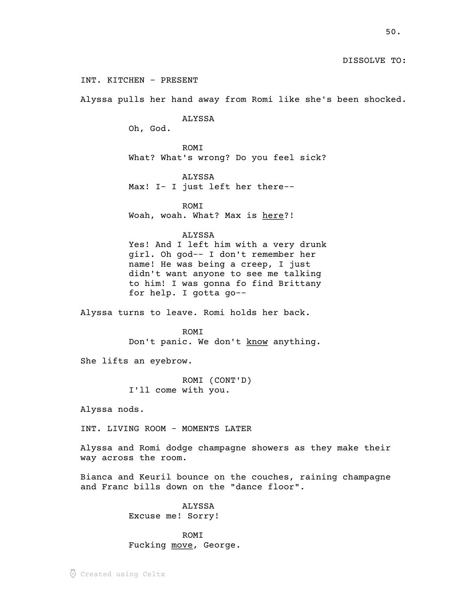## DISSOLVE TO:

INT. KITCHEN - PRESENT

Alyssa pulls her hand away from Romi like she's been shocked.

ALYSSA

Oh, God.

ROMI What? What's wrong? Do you feel sick?

ALYSSA Max! I- I just left her there--

ROMI Woah, woah. What? Max is here?!

#### ALYSSA

Yes! And I left him with a very drunk girl. Oh god-- I don't remember her name! He was being a creep, I just didn't want anyone to see me talking to him! I was gonna fo find Brittany for help. I gotta go--

Alyssa turns to leave. Romi holds her back.

ROMI Don't panic. We don't know anything.

She lifts an eyebrow.

ROMI (CONT'D) I'll come with you.

Alyssa nods.

INT. LIVING ROOM - MOMENTS LATER

Alyssa and Romi dodge champagne showers as they make their way across the room.

Bianca and Keuril bounce on the couches, raining champagne and Franc bills down on the "dance floor".

> ALYSSA Excuse me! Sorry!

ROMI Fucking move, George.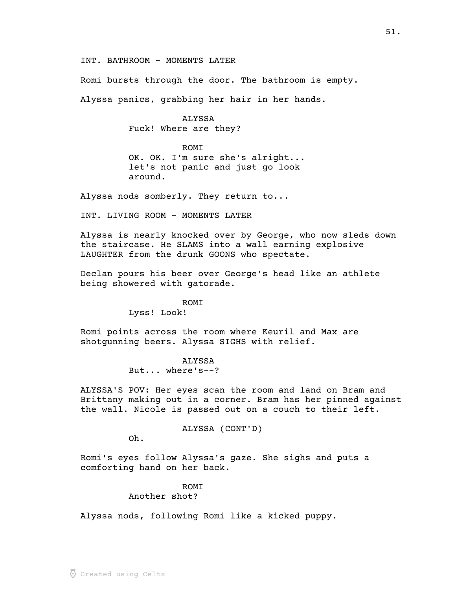INT. BATHROOM - MOMENTS LATER

Romi bursts through the door. The bathroom is empty.

Alyssa panics, grabbing her hair in her hands.

## ALYSSA

Fuck! Where are they?

ROMI OK. OK. I'm sure she's alright... let's not panic and just go look around.

Alyssa nods somberly. They return to...

INT. LIVING ROOM - MOMENTS LATER

Alyssa is nearly knocked over by George, who now sleds down the staircase. He SLAMS into a wall earning explosive LAUGHTER from the drunk GOONS who spectate.

Declan pours his beer over George's head like an athlete being showered with gatorade.

> ROMI Lyss! Look!

Romi points across the room where Keuril and Max are shotgunning beers. Alyssa SIGHS with relief.

> ALYSSA But... where's--?

ALYSSA'S POV: Her eyes scan the room and land on Bram and Brittany making out in a corner. Bram has her pinned against the wall. Nicole is passed out on a couch to their left.

ALYSSA (CONT'D)

Oh.

Romi's eyes follow Alyssa's gaze. She sighs and puts a comforting hand on her back.

# ROMI Another shot?

Alyssa nods, following Romi like a kicked puppy.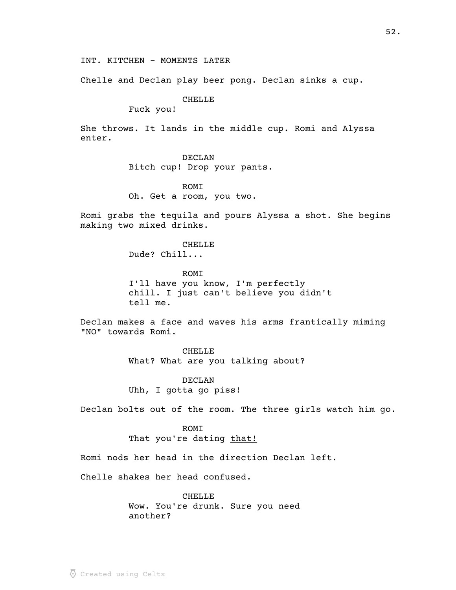INT. KITCHEN - MOMENTS LATER

Chelle and Declan play beer pong. Declan sinks a cup.

## CHELLE

Fuck you!

She throws. It lands in the middle cup. Romi and Alyssa enter.

# DECLAN

Bitch cup! Drop your pants.

ROMI Oh. Get a room, you two.

Romi grabs the tequila and pours Alyssa a shot. She begins making two mixed drinks.

> CHELLE Dude? Chill...

ROMI I'll have you know, I'm perfectly chill. I just can't believe you didn't tell me.

Declan makes a face and waves his arms frantically miming "NO" towards Romi.

> CHELLE What? What are you talking about?

DECLAN Uhh, I gotta go piss!

Declan bolts out of the room. The three girls watch him go.

ROMI That you're dating that!

Romi nods her head in the direction Declan left.

Chelle shakes her head confused.

**CHELLE** Wow. You're drunk. Sure you need another?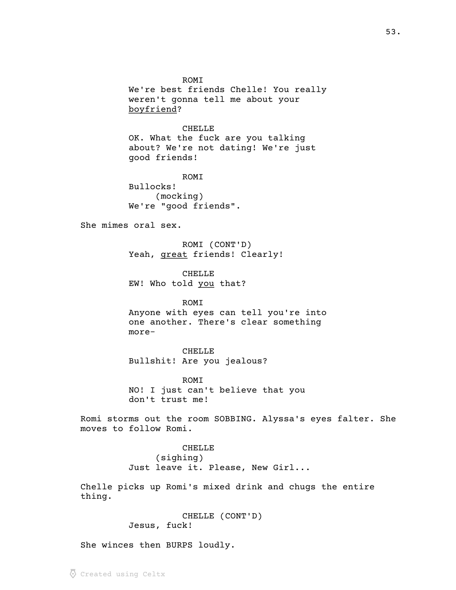ROMI

We're best friends Chelle! You really weren't gonna tell me about your boyfriend? \_\_\_\_\_\_\_\_\_

CHELLE

OK. What the fuck are you talking about? We're not dating! We're just good friends!

ROMI Bullocks! (mocking) We're "good friends".

She mimes oral sex.

ROMI (CONT'D) Yeah, great friends! Clearly!

CHELLE EW! Who told you that?

#### ROMI

Anyone with eyes can tell you're into one another. There's clear something more-

CHELLE Bullshit! Are you jealous?

ROMI NO! I just can't believe that you don't trust me!

Romi storms out the room SOBBING. Alyssa's eyes falter. She moves to follow Romi.

> CHELLE (sighing) Just leave it. Please, New Girl...

Chelle picks up Romi's mixed drink and chugs the entire thing.

> CHELLE (CONT'D) Jesus, fuck!

She winces then BURPS loudly.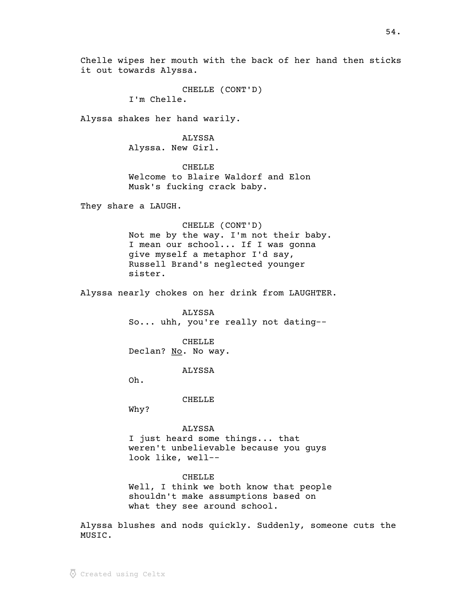CHELLE (CONT'D) I'm Chelle.

Alyssa shakes her hand warily.

ALYSSA Alyssa. New Girl.

**CHELLE** Welcome to Blaire Waldorf and Elon Musk's fucking crack baby.

They share a LAUGH.

CHELLE (CONT'D) Not me by the way. I'm not their baby. I mean our school... If I was gonna give myself a metaphor I'd say, Russell Brand's neglected younger sister.

Alyssa nearly chokes on her drink from LAUGHTER.

ALYSSA So... uhh, you're really not dating--

CHELLE Declan? No. No way.

ALYSSA

Oh.

CHELLE

Why?

ALYSSA

I just heard some things... that weren't unbelievable because you guys look like, well--

#### CHELLE

Well, I think we both know that people shouldn't make assumptions based on what they see around school.

Alyssa blushes and nods quickly. Suddenly, someone cuts the MUSIC.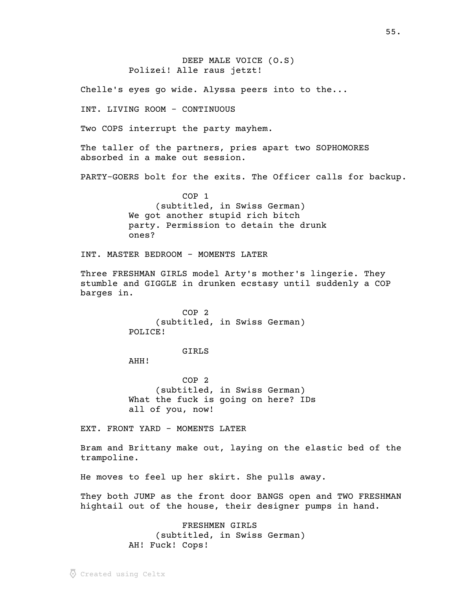DEEP MALE VOICE (O.S) Polizei! Alle raus jetzt!

Chelle's eyes go wide. Alyssa peers into to the...

INT. LIVING ROOM - CONTINUOUS

Two COPS interrupt the party mayhem.

The taller of the partners, pries apart two SOPHOMORES absorbed in a make out session.

PARTY-GOERS bolt for the exits. The Officer calls for backup.

COP 1 (subtitled, in Swiss German) We got another stupid rich bitch party. Permission to detain the drunk ones?

INT. MASTER BEDROOM - MOMENTS LATER

Three FRESHMAN GIRLS model Arty's mother's lingerie. They stumble and GIGGLE in drunken ecstasy until suddenly a COP barges in.

> COP 2 (subtitled, in Swiss German) POLICE!

#### GIRLS

AHH!

COP 2 (subtitled, in Swiss German) What the fuck is going on here? IDs all of you, now!

EXT. FRONT YARD - MOMENTS LATER

Bram and Brittany make out, laying on the elastic bed of the trampoline.

He moves to feel up her skirt. She pulls away.

They both JUMP as the front door BANGS open and TWO FRESHMAN hightail out of the house, their designer pumps in hand.

> FRESHMEN GIRLS (subtitled, in Swiss German) AH! Fuck! Cops!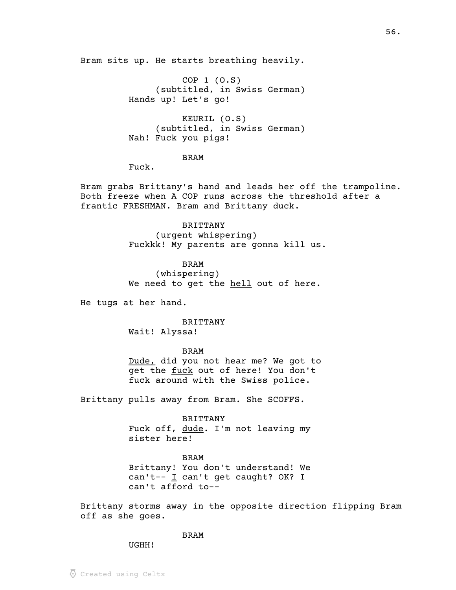Bram sits up. He starts breathing heavily.

COP 1 (O.S) (subtitled, in Swiss German) Hands up! Let's go!

KEURIL (O.S) (subtitled, in Swiss German) Nah! Fuck you pigs!

BRAM

Fuck.

Bram grabs Brittany's hand and leads her off the trampoline. Both freeze when A COP runs across the threshold after a frantic FRESHMAN. Bram and Brittany duck.

> BRITTANY (urgent whispering) Fuckkk! My parents are gonna kill us.

### BRAM

(whispering) We need to get the hell out of here.

He tugs at her hand.

BRITTANY Wait! Alyssa!

BRAM

Dude, did you not hear me? We got to get the fuck out of here! You don't fuck around with the Swiss police.

Brittany pulls away from Bram. She SCOFFS.

BRITTANY Fuck off, dude. I'm not leaving my sister here!

BRAM Brittany! You don't understand! We can't--  $\mathbf{I}$  can't get caught? OK? I can't afford to--

Brittany storms away in the opposite direction flipping Bram off as she goes.

BRAM

UGHH!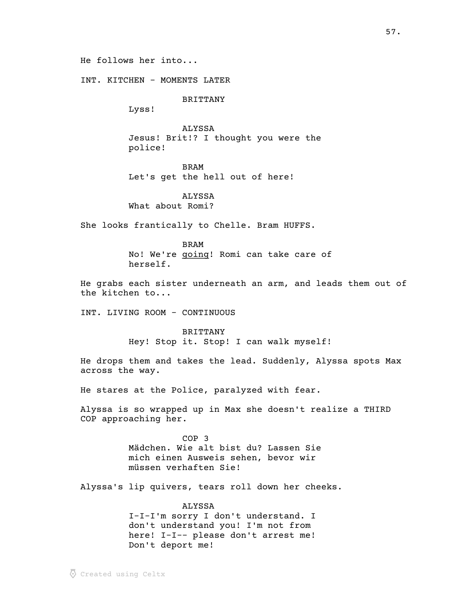He follows her into...

INT. KITCHEN - MOMENTS LATER

BRITTANY

Lyss!

ALYSSA Jesus! Brit!? I thought you were the police!

BRAM Let's get the hell out of here!

ALYSSA What about Romi?

She looks frantically to Chelle. Bram HUFFS.

BRAM

No! We're going! Romi can take care of herself.

He grabs each sister underneath an arm, and leads them out of the kitchen to...

INT. LIVING ROOM - CONTINUOUS

BRITTANY Hey! Stop it. Stop! I can walk myself!

He drops them and takes the lead. Suddenly, Alyssa spots Max across the way.

He stares at the Police, paralyzed with fear.

Alyssa is so wrapped up in Max she doesn't realize a THIRD COP approaching her.

> COP 3 Mädchen. Wie alt bist du? Lassen Sie mich einen Ausweis sehen, bevor wir müssen verhaften Sie!

Alyssa's lip quivers, tears roll down her cheeks.

ALYSSA I-I-I'm sorry I don't understand. I don't understand you! I'm not from here! I-I-- please don't arrest me! Don't deport me!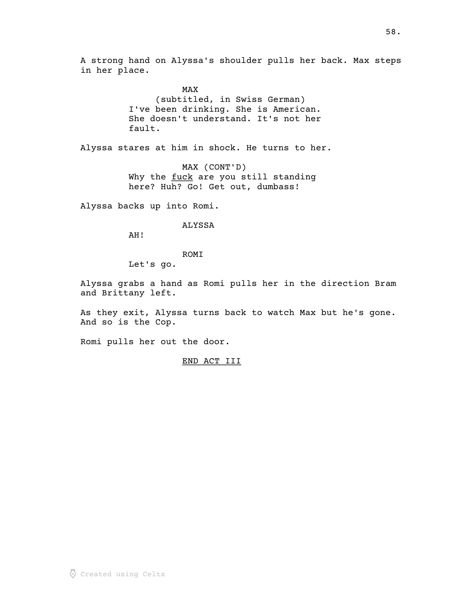A strong hand on Alyssa's shoulder pulls her back. Max steps in her place.

> MAX (subtitled, in Swiss German) I've been drinking. She is American. She doesn't understand. It's not her fault.

Alyssa stares at him in shock. He turns to her.

MAX (CONT'D) Why the fuck are you still standing here? Huh? Go! Get out, dumbass!

Alyssa backs up into Romi.

## ALYSSA

AH!

ROMI

Let's go.

Alyssa grabs a hand as Romi pulls her in the direction Bram and Brittany left.

As they exit, Alyssa turns back to watch Max but he's gone. And so is the Cop.

Romi pulls her out the door.

# END ACT III